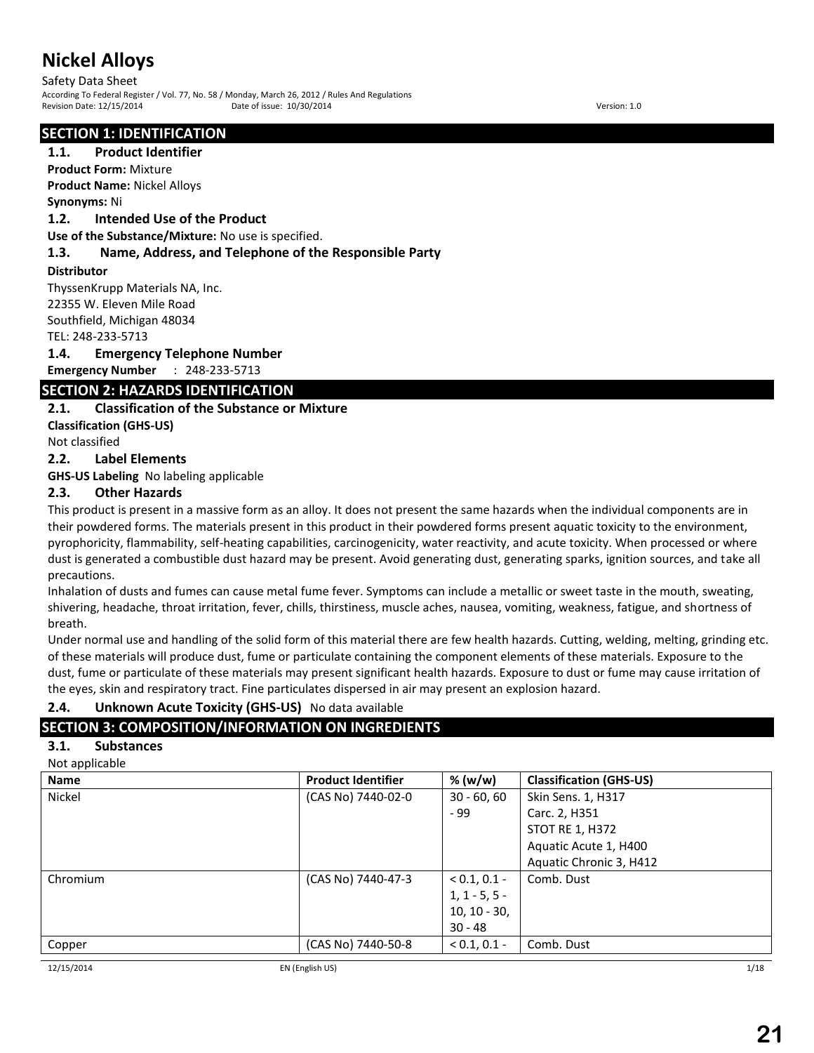### Safety Data Sheet

According To Federal Register / Vol. 77, No. 58 / Monday, March 26, 2012 / Rules And Regulations Revision Date: 12/15/2014 Date of issue: 10/30/2014 Version: 1.0

#### **SECTION 1: IDENTIFICATION**

#### **1.1. Product Identifier**

**Product Form:** Mixture **Product Name:** Nickel Alloys

#### **Synonyms:** Ni

#### **1.2. Intended Use of the Product**

**Use of the Substance/Mixture:** No use is specified.

#### **1.3. Name, Address, and Telephone of the Responsible Party**

#### **Distributor**

ThyssenKrupp Materials NA, Inc. 22355 W. Eleven Mile Road Southfield, Michigan 48034 TEL: 248-233-5713

#### **1.4. Emergency Telephone Number**

**Emergency Number** : 248-233-5713

### **SECTION 2: HAZARDS IDENTIFICATION**

### **2.1. Classification of the Substance or Mixture**

**Classification (GHS-US)**

Not classified

#### **2.2. Label Elements**

**GHS-US Labeling** No labeling applicable

### **2.3. Other Hazards**

This product is present in a massive form as an alloy. It does not present the same hazards when the individual components are in their powdered forms. The materials present in this product in their powdered forms present aquatic toxicity to the environment, pyrophoricity, flammability, self-heating capabilities, carcinogenicity, water reactivity, and acute toxicity. When processed or where dust is generated a combustible dust hazard may be present. Avoid generating dust, generating sparks, ignition sources, and take all precautions.

Inhalation of dusts and fumes can cause metal fume fever. Symptoms can include a metallic or sweet taste in the mouth, sweating, shivering, headache, throat irritation, fever, chills, thirstiness, muscle aches, nausea, vomiting, weakness, fatigue, and shortness of breath.

Under normal use and handling of the solid form of this material there are few health hazards. Cutting, welding, melting, grinding etc. of these materials will produce dust, fume or particulate containing the component elements of these materials. Exposure to the dust, fume or particulate of these materials may present significant health hazards. Exposure to dust or fume may cause irritation of the eyes, skin and respiratory tract. Fine particulates dispersed in air may present an explosion hazard.

## **2.4. Unknown Acute Toxicity (GHS-US)** No data available

# **SECTION 3: COMPOSITION/INFORMATION ON INGREDIENTS**

### **3.1. Substances**

Not applicable

| <b>Product Identifier</b> | % (w/w)         | <b>Classification (GHS-US)</b> |
|---------------------------|-----------------|--------------------------------|
| (CAS No) 7440-02-0        | $30 - 60, 60$   | Skin Sens. 1, H317             |
|                           | - 99            | Carc. 2, H351                  |
|                           |                 | <b>STOT RE 1, H372</b>         |
|                           |                 | Aquatic Acute 1, H400          |
|                           |                 | Aquatic Chronic 3, H412        |
| (CAS No) 7440-47-3        | $< 0.1, 0.1 -$  | Comb. Dust                     |
|                           | $1, 1 - 5, 5 -$ |                                |
|                           | $10, 10 - 30,$  |                                |
|                           | $30 - 48$       |                                |
| (CAS No) 7440-50-8        | $< 0.1, 0.1 -$  | Comb. Dust                     |
|                           |                 |                                |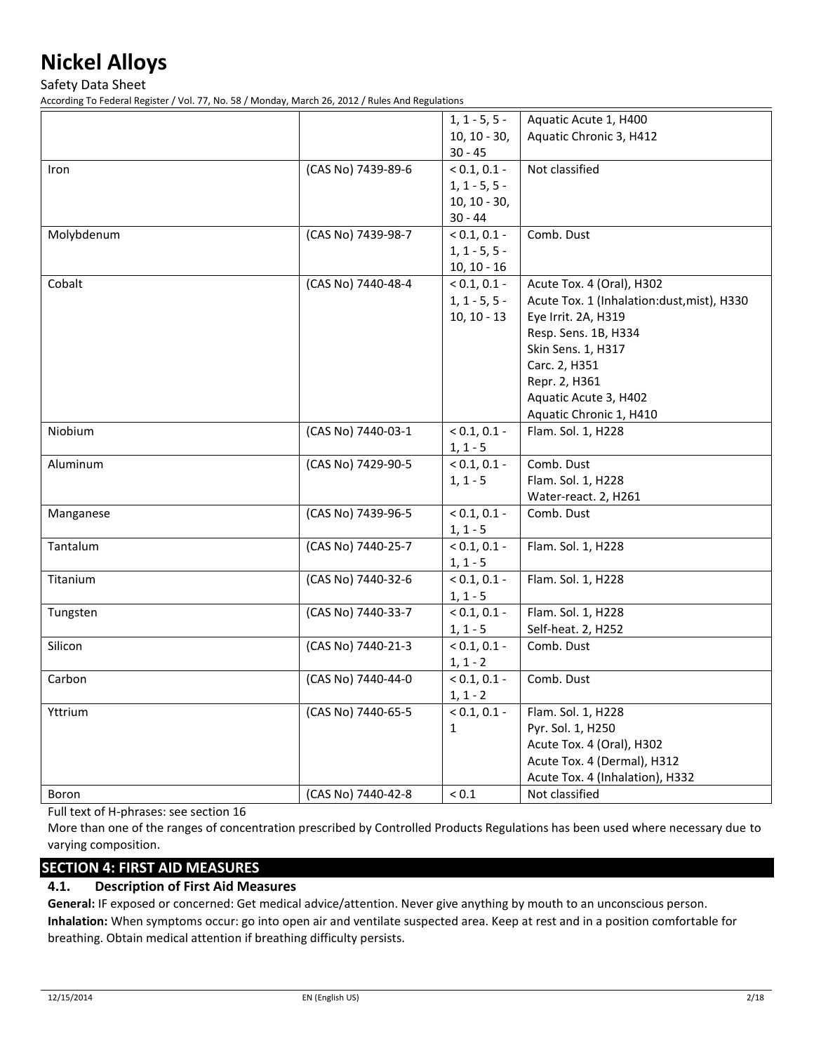Safety Data Sheet

According To Federal Register / Vol. 77, No. 58 / Monday, March 26, 2012 / Rules And Regulations

|            |                    | $1, 1 - 5, 5 -$ | Aquatic Acute 1, H400                      |
|------------|--------------------|-----------------|--------------------------------------------|
|            |                    | $10, 10 - 30,$  | Aquatic Chronic 3, H412                    |
|            |                    | $30 - 45$       |                                            |
| Iron       | (CAS No) 7439-89-6 | $< 0.1, 0.1 -$  | Not classified                             |
|            |                    | $1, 1 - 5, 5 -$ |                                            |
|            |                    | $10, 10 - 30,$  |                                            |
|            |                    | $30 - 44$       |                                            |
| Molybdenum | (CAS No) 7439-98-7 | $< 0.1, 0.1 -$  | Comb. Dust                                 |
|            |                    | $1, 1 - 5, 5 -$ |                                            |
|            |                    | $10, 10 - 16$   |                                            |
| Cobalt     | (CAS No) 7440-48-4 | $< 0.1, 0.1 -$  | Acute Tox. 4 (Oral), H302                  |
|            |                    | $1, 1 - 5, 5 -$ | Acute Tox. 1 (Inhalation:dust, mist), H330 |
|            |                    | $10, 10 - 13$   | Eye Irrit. 2A, H319                        |
|            |                    |                 | Resp. Sens. 1B, H334                       |
|            |                    |                 |                                            |
|            |                    |                 | Skin Sens. 1, H317                         |
|            |                    |                 | Carc. 2, H351                              |
|            |                    |                 | Repr. 2, H361                              |
|            |                    |                 | Aquatic Acute 3, H402                      |
|            |                    |                 | Aquatic Chronic 1, H410                    |
| Niobium    | (CAS No) 7440-03-1 | $< 0.1, 0.1 -$  | Flam. Sol. 1, H228                         |
|            |                    | $1, 1 - 5$      |                                            |
| Aluminum   | (CAS No) 7429-90-5 | $< 0.1, 0.1 -$  | Comb. Dust                                 |
|            |                    | $1, 1 - 5$      | Flam. Sol. 1, H228                         |
|            |                    |                 | Water-react. 2, H261                       |
| Manganese  | (CAS No) 7439-96-5 | $< 0.1, 0.1 -$  | Comb. Dust                                 |
|            |                    | $1, 1 - 5$      |                                            |
| Tantalum   | (CAS No) 7440-25-7 | $< 0.1, 0.1 -$  | Flam. Sol. 1, H228                         |
|            |                    | $1, 1 - 5$      |                                            |
| Titanium   | (CAS No) 7440-32-6 | $< 0.1, 0.1 -$  | Flam. Sol. 1, H228                         |
|            |                    | $1, 1 - 5$      |                                            |
| Tungsten   | (CAS No) 7440-33-7 | $< 0.1, 0.1 -$  | Flam. Sol. 1, H228                         |
|            |                    | $1, 1 - 5$      | Self-heat. 2, H252                         |
| Silicon    | (CAS No) 7440-21-3 | $< 0.1, 0.1 -$  | Comb. Dust                                 |
|            |                    | $1, 1 - 2$      |                                            |
| Carbon     | (CAS No) 7440-44-0 | $< 0.1, 0.1 -$  | Comb. Dust                                 |
|            |                    | $1, 1 - 2$      |                                            |
| Yttrium    | (CAS No) 7440-65-5 | $< 0.1, 0.1 -$  | Flam. Sol. 1, H228                         |
|            |                    | $\mathbf{1}$    | Pyr. Sol. 1, H250                          |
|            |                    |                 | Acute Tox. 4 (Oral), H302                  |
|            |                    |                 | Acute Tox. 4 (Dermal), H312                |
|            |                    |                 | Acute Tox. 4 (Inhalation), H332            |
| Boron      | (CAS No) 7440-42-8 | $< 0.1$         | Not classified                             |
|            |                    |                 |                                            |

Full text of H-phrases: see section 16

More than one of the ranges of concentration prescribed by Controlled Products Regulations has been used where necessary due to varying composition.

# **SECTION 4: FIRST AID MEASURES**

# **4.1. Description of First Aid Measures**

**General:** IF exposed or concerned: Get medical advice/attention. Never give anything by mouth to an unconscious person. **Inhalation:** When symptoms occur: go into open air and ventilate suspected area. Keep at rest and in a position comfortable for breathing. Obtain medical attention if breathing difficulty persists.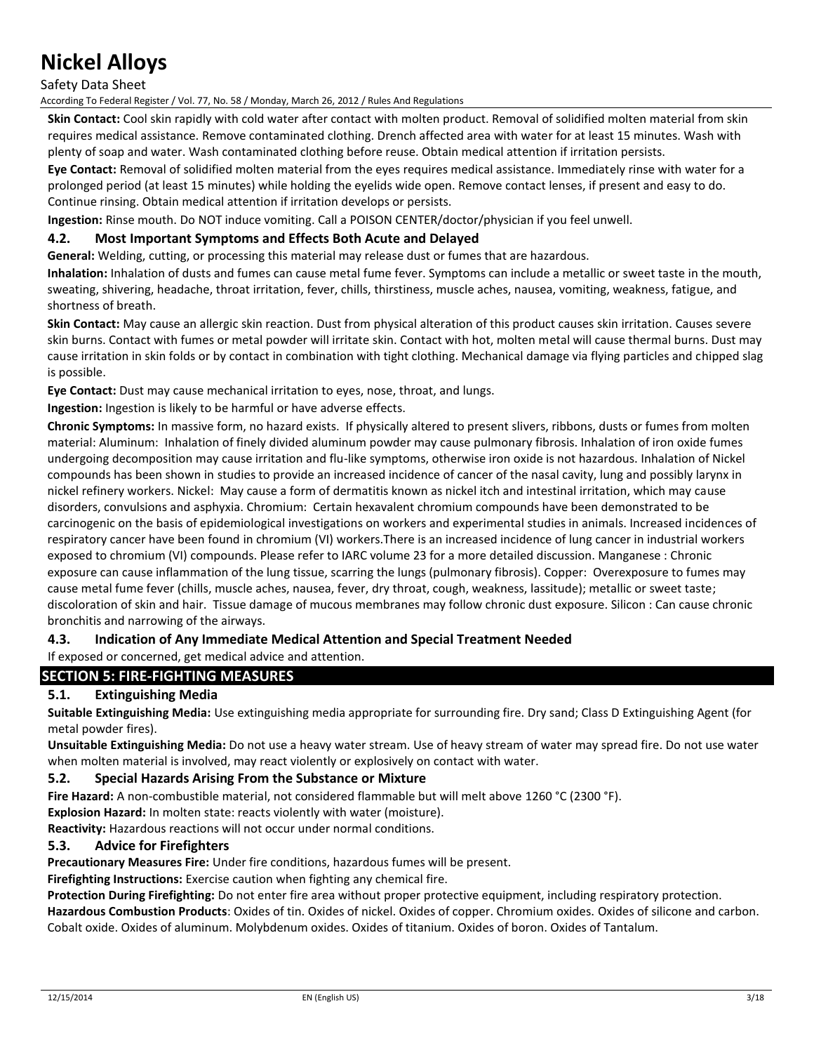Safety Data Sheet

According To Federal Register / Vol. 77, No. 58 / Monday, March 26, 2012 / Rules And Regulations

**Skin Contact:** Cool skin rapidly with cold water after contact with molten product. Removal of solidified molten material from skin requires medical assistance. Remove contaminated clothing. Drench affected area with water for at least 15 minutes. Wash with plenty of soap and water. Wash contaminated clothing before reuse. Obtain medical attention if irritation persists.

**Eye Contact:** Removal of solidified molten material from the eyes requires medical assistance. Immediately rinse with water for a prolonged period (at least 15 minutes) while holding the eyelids wide open. Remove contact lenses, if present and easy to do. Continue rinsing. Obtain medical attention if irritation develops or persists.

**Ingestion:** Rinse mouth. Do NOT induce vomiting. Call a POISON CENTER/doctor/physician if you feel unwell.

#### **4.2. Most Important Symptoms and Effects Both Acute and Delayed**

**General:** Welding, cutting, or processing this material may release dust or fumes that are hazardous.

**Inhalation:** Inhalation of dusts and fumes can cause metal fume fever. Symptoms can include a metallic or sweet taste in the mouth, sweating, shivering, headache, throat irritation, fever, chills, thirstiness, muscle aches, nausea, vomiting, weakness, fatigue, and shortness of breath.

**Skin Contact:** May cause an allergic skin reaction. Dust from physical alteration of this product causes skin irritation. Causes severe skin burns. Contact with fumes or metal powder will irritate skin. Contact with hot, molten metal will cause thermal burns. Dust may cause irritation in skin folds or by contact in combination with tight clothing. Mechanical damage via flying particles and chipped slag is possible.

**Eye Contact:** Dust may cause mechanical irritation to eyes, nose, throat, and lungs.

**Ingestion:** Ingestion is likely to be harmful or have adverse effects.

**Chronic Symptoms:** In massive form, no hazard exists. If physically altered to present slivers, ribbons, dusts or fumes from molten material: Aluminum: Inhalation of finely divided aluminum powder may cause pulmonary fibrosis. Inhalation of iron oxide fumes undergoing decomposition may cause irritation and flu-like symptoms, otherwise iron oxide is not hazardous. Inhalation of Nickel compounds has been shown in studies to provide an increased incidence of cancer of the nasal cavity, lung and possibly larynx in nickel refinery workers. Nickel: May cause a form of dermatitis known as nickel itch and intestinal irritation, which may cause disorders, convulsions and asphyxia. Chromium: Certain hexavalent chromium compounds have been demonstrated to be carcinogenic on the basis of epidemiological investigations on workers and experimental studies in animals. Increased incidences of respiratory cancer have been found in chromium (VI) workers.There is an increased incidence of lung cancer in industrial workers exposed to chromium (VI) compounds. Please refer to IARC volume 23 for a more detailed discussion. Manganese : Chronic exposure can cause inflammation of the lung tissue, scarring the lungs (pulmonary fibrosis). Copper: Overexposure to fumes may cause metal fume fever (chills, muscle aches, nausea, fever, dry throat, cough, weakness, lassitude); metallic or sweet taste; discoloration of skin and hair. Tissue damage of mucous membranes may follow chronic dust exposure. Silicon : Can cause chronic bronchitis and narrowing of the airways.

### **4.3. Indication of Any Immediate Medical Attention and Special Treatment Needed**

If exposed or concerned, get medical advice and attention.

# **SECTION 5: FIRE-FIGHTING MEASURES**

## **5.1. Extinguishing Media**

**Suitable Extinguishing Media:** Use extinguishing media appropriate for surrounding fire. Dry sand; Class D Extinguishing Agent (for metal powder fires).

**Unsuitable Extinguishing Media:** Do not use a heavy water stream. Use of heavy stream of water may spread fire. Do not use water when molten material is involved, may react violently or explosively on contact with water.

#### **5.2. Special Hazards Arising From the Substance or Mixture**

**Fire Hazard:** A non-combustible material, not considered flammable but will melt above 1260 °C (2300 °F).

**Explosion Hazard:** In molten state: reacts violently with water (moisture).

**Reactivity:** Hazardous reactions will not occur under normal conditions.

#### **5.3. Advice for Firefighters**

**Precautionary Measures Fire:** Under fire conditions, hazardous fumes will be present.

**Firefighting Instructions:** Exercise caution when fighting any chemical fire.

**Protection During Firefighting:** Do not enter fire area without proper protective equipment, including respiratory protection.

**Hazardous Combustion Products**: Oxides of tin. Oxides of nickel. Oxides of copper. Chromium oxides. Oxides of silicone and carbon. Cobalt oxide. Oxides of aluminum. Molybdenum oxides. Oxides of titanium. Oxides of boron. Oxides of Tantalum.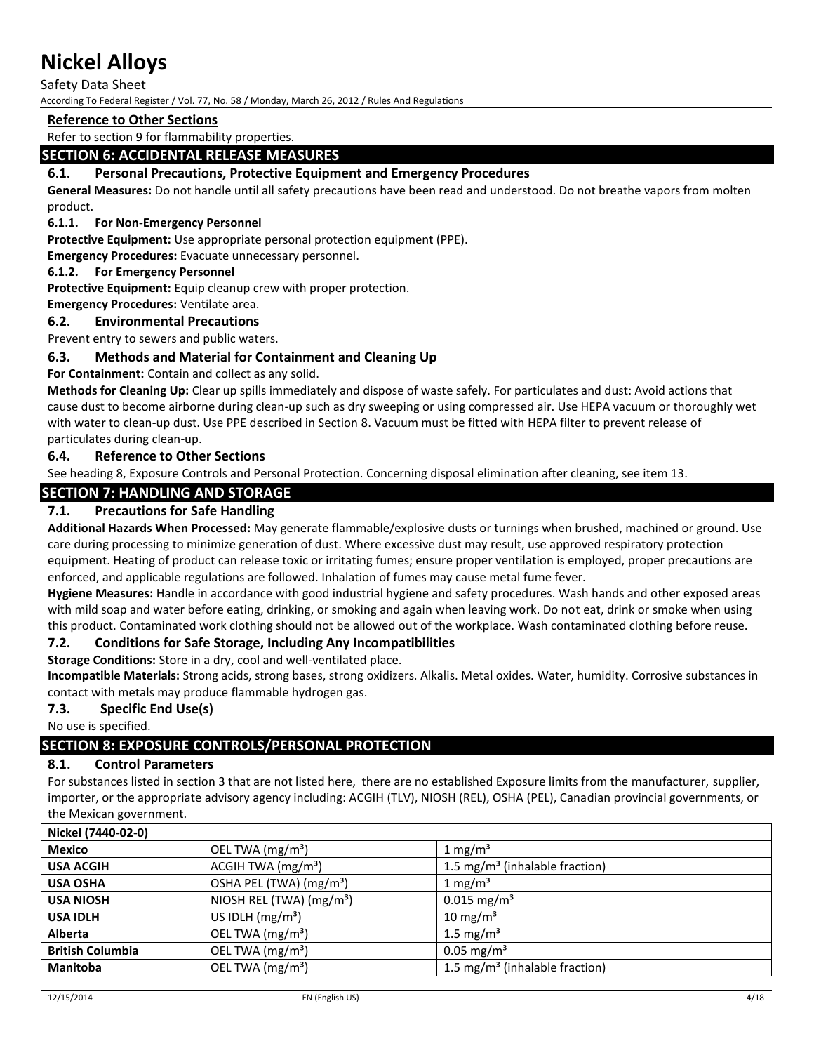Safety Data Sheet

According To Federal Register / Vol. 77, No. 58 / Monday, March 26, 2012 / Rules And Regulations

### **Reference to Other Sections**

Refer to section 9 for flammability properties.

## **SECTION 6: ACCIDENTAL RELEASE MEASURES**

### **6.1. Personal Precautions, Protective Equipment and Emergency Procedures**

**General Measures:** Do not handle until all safety precautions have been read and understood. Do not breathe vapors from molten product.

#### **6.1.1. For Non-Emergency Personnel**

**Protective Equipment:** Use appropriate personal protection equipment (PPE).

**Emergency Procedures:** Evacuate unnecessary personnel.

#### **6.1.2. For Emergency Personnel**

**Protective Equipment:** Equip cleanup crew with proper protection.

**Emergency Procedures:** Ventilate area.

### **6.2. Environmental Precautions**

Prevent entry to sewers and public waters.

### **6.3. Methods and Material for Containment and Cleaning Up**

**For Containment:** Contain and collect as any solid.

**Methods for Cleaning Up:** Clear up spills immediately and dispose of waste safely. For particulates and dust: Avoid actions that cause dust to become airborne during clean-up such as dry sweeping or using compressed air. Use HEPA vacuum or thoroughly wet with water to clean-up dust. Use PPE described in Section 8. Vacuum must be fitted with HEPA filter to prevent release of particulates during clean-up.

### **6.4. Reference to Other Sections**

See heading 8, Exposure Controls and Personal Protection. Concerning disposal elimination after cleaning, see item 13.

## **SECTION 7: HANDLING AND STORAGE**

## **7.1. Precautions for Safe Handling**

**Additional Hazards When Processed:** May generate flammable/explosive dusts or turnings when brushed, machined or ground. Use care during processing to minimize generation of dust. Where excessive dust may result, use approved respiratory protection equipment. Heating of product can release toxic or irritating fumes; ensure proper ventilation is employed, proper precautions are enforced, and applicable regulations are followed. Inhalation of fumes may cause metal fume fever.

**Hygiene Measures:** Handle in accordance with good industrial hygiene and safety procedures. Wash hands and other exposed areas with mild soap and water before eating, drinking, or smoking and again when leaving work. Do not eat, drink or smoke when using this product. Contaminated work clothing should not be allowed out of the workplace. Wash contaminated clothing before reuse.

### **7.2. Conditions for Safe Storage, Including Any Incompatibilities**

**Storage Conditions:** Store in a dry, cool and well-ventilated place.

**Incompatible Materials:** Strong acids, strong bases, strong oxidizers. Alkalis. Metal oxides. Water, humidity. Corrosive substances in contact with metals may produce flammable hydrogen gas.

### **7.3. Specific End Use(s)**

No use is specified.

## **SECTION 8: EXPOSURE CONTROLS/PERSONAL PROTECTION**

#### **8.1. Control Parameters**

For substances listed in section 3 that are not listed here, there are no established Exposure limits from the manufacturer, supplier, importer, or the appropriate advisory agency including: ACGIH (TLV), NIOSH (REL), OSHA (PEL), Canadian provincial governments, or the Mexican government.

| Nickel (7440-02-0)      |                                      |                                            |
|-------------------------|--------------------------------------|--------------------------------------------|
| <b>Mexico</b>           | OEL TWA (mg/m <sup>3</sup> )         | 1 mg/m <sup>3</sup>                        |
| <b>USA ACGIH</b>        | ACGIH TWA $(mg/m3)$                  | 1.5 mg/m <sup>3</sup> (inhalable fraction) |
| <b>USA OSHA</b>         | OSHA PEL (TWA) (mg/m <sup>3</sup> )  | $1 \text{ mg/m}^3$                         |
| <b>USA NIOSH</b>        | NIOSH REL (TWA) (mg/m <sup>3</sup> ) | $0.015$ mg/m <sup>3</sup>                  |
| <b>USA IDLH</b>         | US IDLH $(mg/m3)$                    | $10 \text{ mg/m}^3$                        |
| Alberta                 | OEL TWA (mg/m <sup>3</sup> )         | 1.5 mg/m <sup>3</sup>                      |
| <b>British Columbia</b> | OEL TWA (mg/m <sup>3</sup> )         | $0.05 \,\mathrm{mg/m^3}$                   |
| <b>Manitoba</b>         | OEL TWA (mg/m <sup>3</sup> )         | 1.5 mg/m <sup>3</sup> (inhalable fraction) |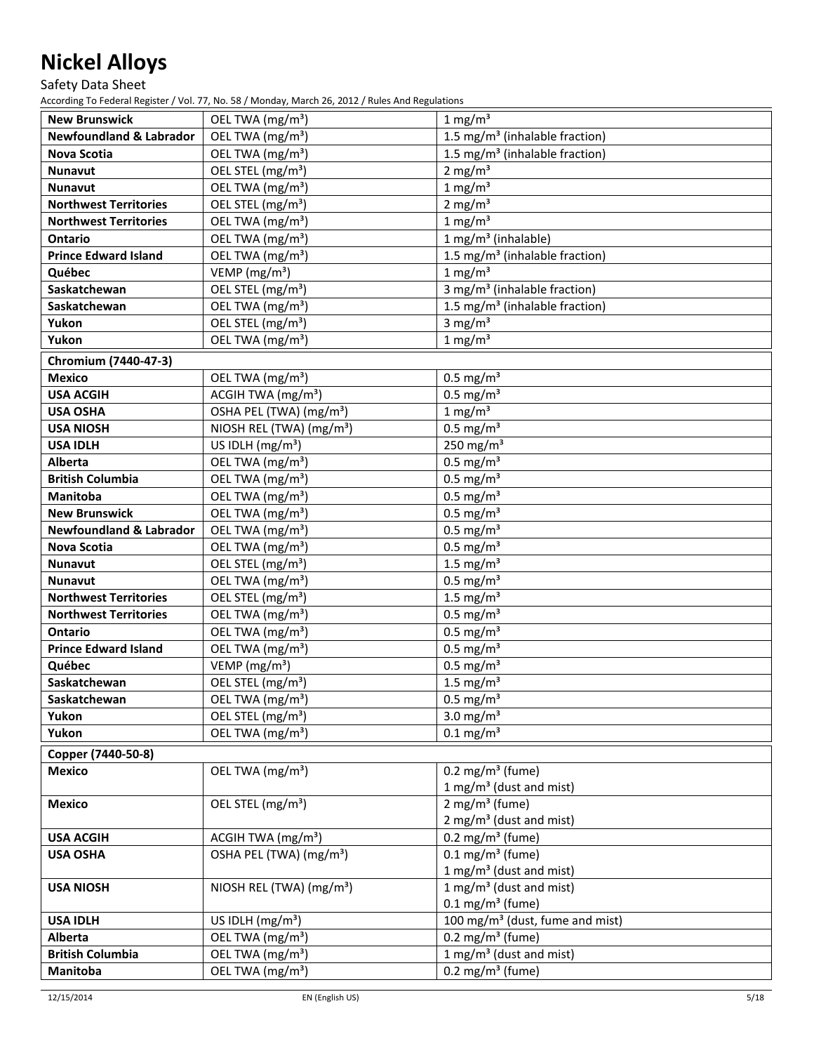Safety Data Sheet

| <b>New Brunswick</b>               | OEL TWA (mg/m <sup>3</sup> )         | $1 \text{ mg/m}^3$                          |
|------------------------------------|--------------------------------------|---------------------------------------------|
| <b>Newfoundland &amp; Labrador</b> | OEL TWA (mg/m <sup>3</sup> )         | 1.5 mg/m <sup>3</sup> (inhalable fraction)  |
| Nova Scotia                        | OEL TWA (mg/m <sup>3</sup> )         | 1.5 mg/m <sup>3</sup> (inhalable fraction)  |
| <b>Nunavut</b>                     | OEL STEL (mg/m <sup>3</sup> )        | 2 mg/ $m3$                                  |
| Nunavut                            | OEL TWA (mg/m <sup>3</sup> )         | $1 \text{ mg/m}^3$                          |
| <b>Northwest Territories</b>       | OEL STEL (mg/m <sup>3</sup> )        | 2 mg/ $m3$                                  |
| <b>Northwest Territories</b>       | OEL TWA (mg/m <sup>3</sup> )         | $1 \text{ mg/m}^3$                          |
| <b>Ontario</b>                     | OEL TWA (mg/m <sup>3</sup> )         | 1 mg/m <sup>3</sup> (inhalable)             |
| <b>Prince Edward Island</b>        | OEL TWA (mg/m <sup>3</sup> )         | 1.5 mg/m <sup>3</sup> (inhalable fraction)  |
| Québec                             | VEMP ( $mg/m3$ )                     | $1 \text{ mg/m}^3$                          |
| Saskatchewan                       | OEL STEL (mg/m <sup>3</sup> )        | 3 mg/m <sup>3</sup> (inhalable fraction)    |
| Saskatchewan                       | OEL TWA (mg/m <sup>3</sup> )         | 1.5 mg/m <sup>3</sup> (inhalable fraction)  |
| Yukon                              | OEL STEL (mg/m <sup>3</sup> )        | 3 mg/ $m3$                                  |
| Yukon                              | OEL TWA (mg/m <sup>3</sup> )         | $1 \text{ mg/m}^3$                          |
|                                    |                                      |                                             |
| Chromium (7440-47-3)               |                                      |                                             |
| <b>Mexico</b>                      | OEL TWA (mg/m <sup>3</sup> )         | $0.5$ mg/m <sup>3</sup>                     |
| <b>USA ACGIH</b>                   | ACGIH TWA (mg/m <sup>3</sup> )       | $0.5$ mg/m <sup>3</sup>                     |
| <b>USA OSHA</b>                    | OSHA PEL (TWA) (mg/m <sup>3</sup> )  | $1 \text{ mg/m}^3$                          |
| <b>USA NIOSH</b>                   | NIOSH REL (TWA) (mg/m <sup>3</sup> ) | $0.5$ mg/m <sup>3</sup>                     |
| <b>USA IDLH</b>                    | US IDLH $(mg/m3)$                    | 250 mg/m <sup>3</sup>                       |
| <b>Alberta</b>                     | OEL TWA (mg/m <sup>3</sup> )         | $0.5$ mg/m <sup>3</sup>                     |
| <b>British Columbia</b>            | OEL TWA (mg/m <sup>3</sup> )         | $0.5$ mg/m <sup>3</sup>                     |
| <b>Manitoba</b>                    | OEL TWA (mg/m <sup>3</sup> )         | $0.5$ mg/m <sup>3</sup>                     |
| <b>New Brunswick</b>               | OEL TWA (mg/m <sup>3</sup> )         | $0.5$ mg/m <sup>3</sup>                     |
| <b>Newfoundland &amp; Labrador</b> | OEL TWA (mg/m <sup>3</sup> )         | $0.5$ mg/m <sup>3</sup>                     |
| <b>Nova Scotia</b>                 | OEL TWA (mg/m <sup>3</sup> )         | $0.5$ mg/m <sup>3</sup>                     |
| Nunavut                            | OEL STEL (mg/m <sup>3</sup> )        | 1.5 mg/ $m3$                                |
| Nunavut                            | OEL TWA (mg/m <sup>3</sup> )         | $0.5$ mg/m <sup>3</sup>                     |
| <b>Northwest Territories</b>       | OEL STEL (mg/m <sup>3</sup> )        | 1.5 mg/ $m3$                                |
| <b>Northwest Territories</b>       | OEL TWA (mg/m <sup>3</sup> )         | $0.5$ mg/m <sup>3</sup>                     |
| <b>Ontario</b>                     | OEL TWA (mg/m <sup>3</sup> )         | $0.5$ mg/m <sup>3</sup>                     |
| <b>Prince Edward Island</b>        | OEL TWA (mg/m <sup>3</sup> )         | $0.5$ mg/m <sup>3</sup>                     |
| Québec                             | VEMP ( $mg/m3$ )                     | $0.5$ mg/m <sup>3</sup>                     |
| Saskatchewan                       | OEL STEL (mg/m <sup>3</sup> )        | 1.5 mg/ $m3$                                |
| Saskatchewan                       | OEL TWA (mg/m <sup>3</sup> )         | $0.5$ mg/m <sup>3</sup>                     |
| Yukon                              | OEL STEL (mg/m <sup>3</sup> )        | 3.0 mg/ $m3$                                |
| Yukon                              | OEL TWA (mg/m <sup>3</sup> )         | $0.1$ mg/m <sup>3</sup>                     |
| Copper (7440-50-8)                 |                                      |                                             |
| <b>Mexico</b>                      | OEL TWA (mg/m <sup>3</sup> )         | $0.2 \text{ mg/m}^3 \text{ (fume)}$         |
|                                    |                                      | 1 mg/m <sup>3</sup> (dust and mist)         |
| <b>Mexico</b>                      | OEL STEL (mg/m <sup>3</sup> )        | $2$ mg/m <sup>3</sup> (fume)                |
|                                    |                                      | $2 \text{ mg/m}^3$ (dust and mist)          |
| <b>USA ACGIH</b>                   | ACGIH TWA $(mg/m3)$                  | 0.2 mg/m <sup>3</sup> (fume)                |
| <b>USA OSHA</b>                    | OSHA PEL (TWA) (mg/m <sup>3</sup> )  | $0.1 \text{ mg/m}^3$ (fume)                 |
|                                    |                                      | 1 mg/m <sup>3</sup> (dust and mist)         |
| <b>USA NIOSH</b>                   | NIOSH REL (TWA) (mg/m <sup>3</sup> ) | 1 mg/m <sup>3</sup> (dust and mist)         |
|                                    |                                      | $0.1 \text{ mg/m}^3$ (fume)                 |
| <b>USA IDLH</b>                    | US IDLH $(mg/m3)$                    | 100 mg/m <sup>3</sup> (dust, fume and mist) |
| <b>Alberta</b>                     | OEL TWA (mg/m <sup>3</sup> )         | 0.2 mg/m <sup>3</sup> (fume)                |
| <b>British Columbia</b>            | OEL TWA (mg/m <sup>3</sup> )         | 1 mg/m <sup>3</sup> (dust and mist)         |
| Manitoba                           | OEL TWA (mg/m <sup>3</sup> )         | $0.2 \text{ mg/m}^3$ (fume)                 |
|                                    |                                      |                                             |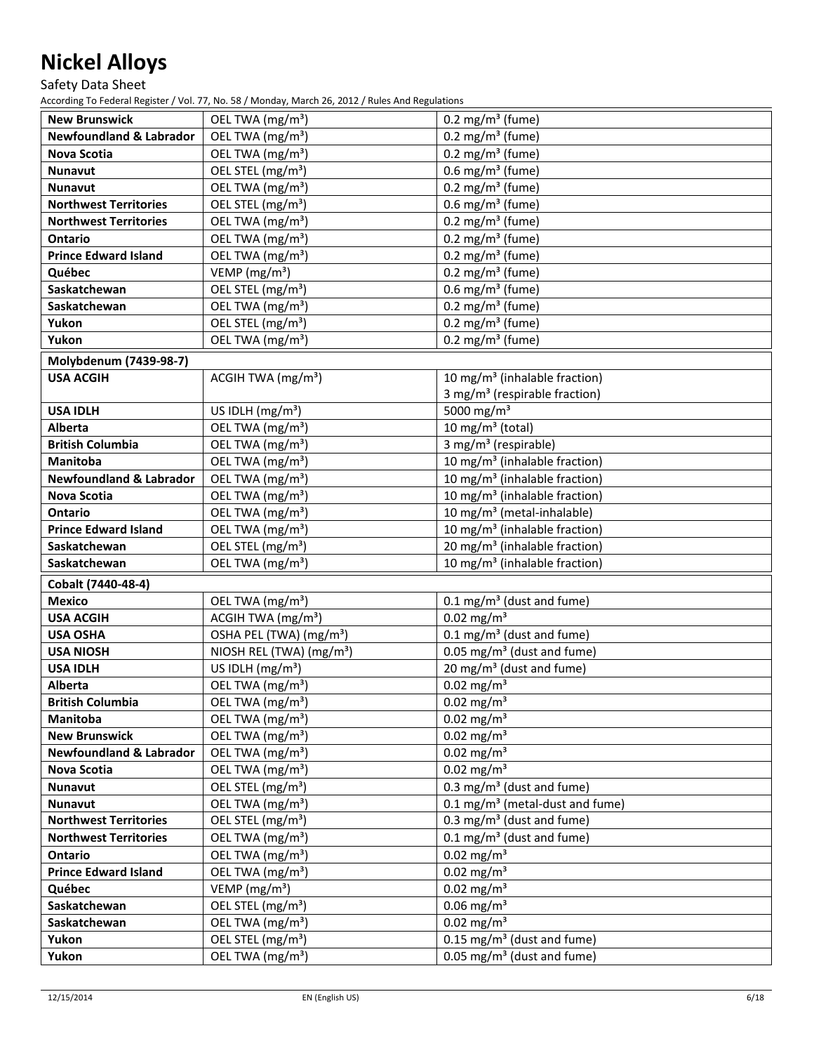Safety Data Sheet

| <b>New Brunswick</b>               | OEL TWA (mg/m <sup>3</sup> )         | $0.2$ mg/m <sup>3</sup> (fume)             |
|------------------------------------|--------------------------------------|--------------------------------------------|
| <b>Newfoundland &amp; Labrador</b> | OEL TWA (mg/m <sup>3</sup> )         | $0.2$ mg/m <sup>3</sup> (fume)             |
| Nova Scotia                        | OEL TWA (mg/m <sup>3</sup> )         | $0.2$ mg/m <sup>3</sup> (fume)             |
| Nunavut                            | OEL STEL (mg/m <sup>3</sup> )        | 0.6 mg/m <sup>3</sup> (fume)               |
| <b>Nunavut</b>                     | OEL TWA (mg/m <sup>3</sup> )         | 0.2 mg/m <sup>3</sup> (fume)               |
| <b>Northwest Territories</b>       | OEL STEL (mg/m <sup>3</sup> )        | $0.6$ mg/m <sup>3</sup> (fume)             |
| <b>Northwest Territories</b>       | OEL TWA (mg/m <sup>3</sup> )         | 0.2 mg/m <sup>3</sup> (fume)               |
| <b>Ontario</b>                     | OEL TWA (mg/m <sup>3</sup> )         | 0.2 mg/m <sup>3</sup> (fume)               |
| <b>Prince Edward Island</b>        | OEL TWA (mg/m <sup>3</sup> )         | 0.2 mg/m <sup>3</sup> (fume)               |
| Québec                             | VEMP ( $mg/m3$ )                     | 0.2 mg/m <sup>3</sup> (fume)               |
| Saskatchewan                       | OEL STEL (mg/m <sup>3</sup> )        | 0.6 mg/m <sup>3</sup> (fume)               |
| Saskatchewan                       | OEL TWA (mg/m <sup>3</sup> )         | 0.2 mg/m <sup>3</sup> (fume)               |
| Yukon                              | OEL STEL (mg/m <sup>3</sup> )        | 0.2 mg/m <sup>3</sup> (fume)               |
| Yukon                              | OEL TWA (mg/m <sup>3</sup> )         | 0.2 mg/m <sup>3</sup> (fume)               |
|                                    |                                      |                                            |
| Molybdenum (7439-98-7)             |                                      |                                            |
| <b>USA ACGIH</b>                   | ACGIH TWA $(mg/m3)$                  | 10 mg/m <sup>3</sup> (inhalable fraction)  |
|                                    |                                      | 3 mg/m <sup>3</sup> (respirable fraction)  |
| <b>USA IDLH</b>                    | US IDLH (mg/m <sup>3</sup> )         | 5000 mg/m <sup>3</sup>                     |
| Alberta                            | OEL TWA (mg/m <sup>3</sup> )         | 10 mg/m <sup>3</sup> (total)               |
| <b>British Columbia</b>            | OEL TWA (mg/m <sup>3</sup> )         | 3 mg/m <sup>3</sup> (respirable)           |
| Manitoba                           | OEL TWA (mg/m <sup>3</sup> )         | 10 mg/m <sup>3</sup> (inhalable fraction)  |
| <b>Newfoundland &amp; Labrador</b> | OEL TWA (mg/m <sup>3</sup> )         | 10 mg/m <sup>3</sup> (inhalable fraction)  |
| <b>Nova Scotia</b>                 | OEL TWA (mg/m <sup>3</sup> )         | 10 mg/m <sup>3</sup> (inhalable fraction)  |
| <b>Ontario</b>                     | OEL TWA (mg/m <sup>3</sup> )         | 10 mg/m <sup>3</sup> (metal-inhalable)     |
| <b>Prince Edward Island</b>        | OEL TWA (mg/m <sup>3</sup> )         | 10 mg/m <sup>3</sup> (inhalable fraction)  |
| Saskatchewan                       | OEL STEL (mg/m <sup>3</sup> )        | 20 mg/m <sup>3</sup> (inhalable fraction)  |
| Saskatchewan                       | OEL TWA (mg/m <sup>3</sup> )         | 10 mg/m <sup>3</sup> (inhalable fraction)  |
| Cobalt (7440-48-4)                 |                                      |                                            |
| <b>Mexico</b>                      | OEL TWA (mg/m <sup>3</sup> )         | $0.1 \text{ mg/m}^3$ (dust and fume)       |
| <b>USA ACGIH</b>                   | ACGIH TWA (mg/m <sup>3</sup> )       | $0.02$ mg/m <sup>3</sup>                   |
| <b>USA OSHA</b>                    | OSHA PEL (TWA) (mg/m <sup>3</sup> )  | $0.1 \text{ mg/m}^3$ (dust and fume)       |
| <b>USA NIOSH</b>                   | NIOSH REL (TWA) (mg/m <sup>3</sup> ) | $0.05$ mg/m <sup>3</sup> (dust and fume)   |
| <b>USA IDLH</b>                    | US IDLH $(mg/m3)$                    | 20 mg/m <sup>3</sup> (dust and fume)       |
| <b>Alberta</b>                     | OEL TWA (mg/m <sup>3</sup> )         | $0.02$ mg/m <sup>3</sup>                   |
| <b>British Columbia</b>            | OEL TWA (mg/m <sup>3</sup> )         | $0.02$ mg/m <sup>3</sup>                   |
| Manitoba                           | OEL TWA (mg/m <sup>3</sup> )         | $0.02$ mg/m <sup>3</sup>                   |
| <b>New Brunswick</b>               | OEL TWA (mg/m <sup>3</sup> )         | $0.02$ mg/m <sup>3</sup>                   |
| <b>Newfoundland &amp; Labrador</b> | OEL TWA (mg/m <sup>3</sup> )         | $0.02$ mg/m <sup>3</sup>                   |
| Nova Scotia                        | OEL TWA (mg/m <sup>3</sup> )         | $0.02$ mg/m <sup>3</sup>                   |
| <b>Nunavut</b>                     | OEL STEL (mg/m <sup>3</sup> )        | 0.3 mg/m <sup>3</sup> (dust and fume)      |
| <b>Nunavut</b>                     | OEL TWA (mg/m <sup>3</sup> )         | $0.1 \text{ mg/m}^3$ (metal-dust and fume) |
| <b>Northwest Territories</b>       | OEL STEL (mg/m <sup>3</sup> )        | 0.3 mg/m <sup>3</sup> (dust and fume)      |
| <b>Northwest Territories</b>       | OEL TWA (mg/m <sup>3</sup> )         | $0.1 \text{ mg/m}^3$ (dust and fume)       |
| Ontario                            | OEL TWA (mg/m <sup>3</sup> )         | $0.02$ mg/m <sup>3</sup>                   |
| <b>Prince Edward Island</b>        | OEL TWA (mg/m <sup>3</sup> )         | $0.02$ mg/m <sup>3</sup>                   |
| Québec                             | VEMP ( $mg/m3$ )                     | $0.02$ mg/m <sup>3</sup>                   |
| Saskatchewan                       | OEL STEL (mg/m <sup>3</sup> )        | $0.06$ mg/m <sup>3</sup>                   |
| Saskatchewan                       | OEL TWA (mg/m <sup>3</sup> )         | $0.02$ mg/m <sup>3</sup>                   |
| Yukon                              | OEL STEL (mg/m <sup>3</sup> )        | $0.15$ mg/m <sup>3</sup> (dust and fume)   |
| Yukon                              | OEL TWA (mg/m <sup>3</sup> )         | 0.05 mg/m <sup>3</sup> (dust and fume)     |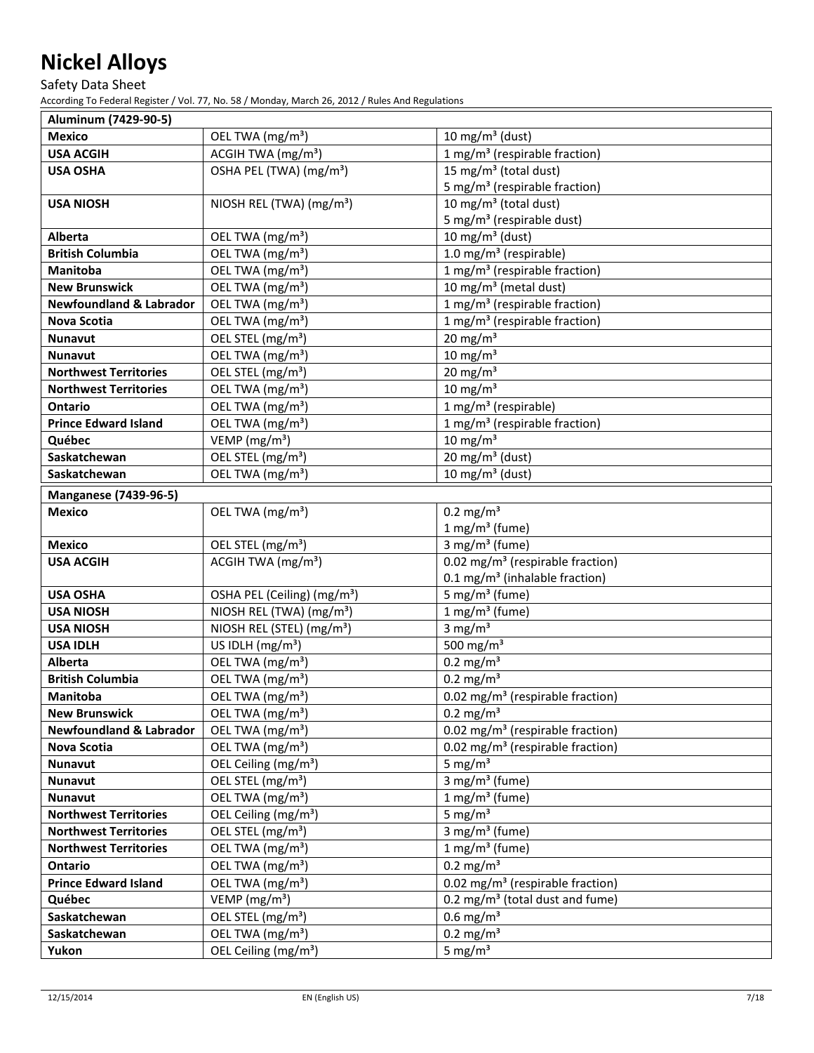Safety Data Sheet

| Aluminum (7429-90-5)                   |                                         |                                              |
|----------------------------------------|-----------------------------------------|----------------------------------------------|
| <b>Mexico</b>                          | OEL TWA (mg/m <sup>3</sup> )            | 10 mg/m <sup>3</sup> (dust)                  |
| <b>USA ACGIH</b>                       | ACGIH TWA (mg/m <sup>3</sup> )          | 1 mg/m <sup>3</sup> (respirable fraction)    |
| <b>USA OSHA</b>                        | OSHA PEL (TWA) (mg/m <sup>3</sup> )     | 15 mg/m <sup>3</sup> (total dust)            |
|                                        |                                         | 5 mg/m <sup>3</sup> (respirable fraction)    |
| <b>USA NIOSH</b>                       | NIOSH REL (TWA) (mg/m <sup>3</sup> )    | 10 mg/m <sup>3</sup> (total dust)            |
|                                        |                                         | 5 mg/m <sup>3</sup> (respirable dust)        |
| Alberta                                | OEL TWA (mg/m <sup>3</sup> )            | 10 mg/m <sup>3</sup> (dust)                  |
| <b>British Columbia</b>                | OEL TWA (mg/m <sup>3</sup> )            | 1.0 mg/m <sup>3</sup> (respirable)           |
| Manitoba                               | OEL TWA (mg/m <sup>3</sup> )            | 1 mg/m <sup>3</sup> (respirable fraction)    |
| <b>New Brunswick</b>                   | OEL TWA (mg/m <sup>3</sup> )            | 10 mg/m <sup>3</sup> (metal dust)            |
| <b>Newfoundland &amp; Labrador</b>     | OEL TWA (mg/m <sup>3</sup> )            | 1 mg/m <sup>3</sup> (respirable fraction)    |
| Nova Scotia                            | OEL TWA (mg/m <sup>3</sup> )            | 1 mg/m <sup>3</sup> (respirable fraction)    |
| Nunavut                                | OEL STEL (mg/m <sup>3</sup> )           | $20 \text{ mg/m}^3$                          |
| <b>Nunavut</b>                         | OEL TWA (mg/m <sup>3</sup> )            | $10 \text{ mg/m}^3$                          |
| <b>Northwest Territories</b>           | OEL STEL (mg/m <sup>3</sup> )           | $20 \text{ mg/m}^3$                          |
| <b>Northwest Territories</b>           | OEL TWA (mg/m <sup>3</sup> )            | $10 \text{ mg/m}^3$                          |
| <b>Ontario</b>                         | OEL TWA (mg/m <sup>3</sup> )            | 1 mg/m <sup>3</sup> (respirable)             |
| <b>Prince Edward Island</b>            | OEL TWA (mg/m <sup>3</sup> )            | 1 mg/m <sup>3</sup> (respirable fraction)    |
| Québec                                 | VEMP ( $mg/m3$ )                        | $\overline{10}$ mg/m <sup>3</sup>            |
| Saskatchewan                           | OEL STEL (mg/m <sup>3</sup> )           | 20 mg/m <sup>3</sup> (dust)                  |
| Saskatchewan                           | OEL TWA (mg/m <sup>3</sup> )            | 10 mg/m <sup>3</sup> (dust)                  |
| <b>Manganese (7439-96-5)</b>           |                                         |                                              |
| <b>Mexico</b>                          | OEL TWA (mg/m <sup>3</sup> )            | $0.2$ mg/m <sup>3</sup>                      |
|                                        |                                         | $1 mg/m3$ (fume)                             |
| <b>Mexico</b>                          | OEL STEL (mg/m <sup>3</sup> )           | 3 mg/m <sup>3</sup> (fume)                   |
| <b>USA ACGIH</b>                       | ACGIH TWA $(mg/m3)$                     | 0.02 mg/m <sup>3</sup> (respirable fraction) |
|                                        |                                         | 0.1 mg/m <sup>3</sup> (inhalable fraction)   |
| <b>USA OSHA</b>                        | OSHA PEL (Ceiling) (mg/m <sup>3</sup> ) | 5 mg/m <sup>3</sup> (fume)                   |
| <b>USA NIOSH</b>                       | NIOSH REL (TWA) (mg/m <sup>3</sup> )    | $1 mg/m3$ (fume)                             |
| <b>USA NIOSH</b>                       | NIOSH REL (STEL) (mg/m <sup>3</sup> )   | $3$ mg/m <sup>3</sup>                        |
| <b>USA IDLH</b>                        | US IDLH $(mg/m3)$                       | 500 mg/m $3$                                 |
| Alberta                                | OEL TWA (mg/m <sup>3</sup> )            | $0.2 \text{ mg/m}^3$                         |
| <b>British Columbia</b>                | OEL TWA (mg/m <sup>3</sup> )            | $0.2$ mg/m <sup>3</sup>                      |
| Manitoba                               | OEL TWA (mg/m <sup>3</sup> )            | 0.02 mg/m <sup>3</sup> (respirable fraction) |
| <b>New Brunswick</b>                   | OEL TWA (mg/m <sup>3</sup> )            | $\overline{0.2}$ mg/m <sup>3</sup>           |
| <b>Newfoundland &amp; Labrador</b>     | OEL TWA (mg/m <sup>3</sup> )            | 0.02 mg/m <sup>3</sup> (respirable fraction) |
| <b>Nova Scotia</b>                     | OEL TWA (mg/m <sup>3</sup> )            | 0.02 mg/m <sup>3</sup> (respirable fraction) |
| <b>Nunavut</b>                         | OEL Ceiling (mg/m <sup>3</sup> )        | 5 mg/ $m3$                                   |
| Nunavut                                | OEL STEL (mg/m <sup>3</sup> )           | 3 mg/m <sup>3</sup> (fume)                   |
| <b>Nunavut</b>                         | OEL TWA (mg/m <sup>3</sup> )            | $1 mg/m3$ (fume)                             |
| <b>Northwest Territories</b>           | OEL Ceiling (mg/m <sup>3</sup> )        | 5 mg/ $m3$                                   |
| <b>Northwest Territories</b>           | OEL STEL (mg/m <sup>3</sup> )           | 3 mg/m <sup>3</sup> (fume)                   |
| <b>Northwest Territories</b>           | OEL TWA (mg/m <sup>3</sup> )            | $1 mg/m3$ (fume)                             |
|                                        | OEL TWA (mg/m <sup>3</sup> )            | $0.2 \text{ mg/m}^3$                         |
| Ontario<br><b>Prince Edward Island</b> | OEL TWA (mg/m <sup>3</sup> )            | 0.02 mg/m <sup>3</sup> (respirable fraction) |
|                                        |                                         |                                              |
| Québec                                 | VEMP ( $mg/m3$ )                        | 0.2 mg/m <sup>3</sup> (total dust and fume)  |
| Saskatchewan                           | OEL STEL (mg/m <sup>3</sup> )           | $0.6$ mg/m <sup>3</sup>                      |
| Saskatchewan                           | OEL TWA (mg/m <sup>3</sup> )            | $0.2 \text{ mg/m}^3$                         |
| Yukon                                  | OEL Ceiling (mg/m <sup>3</sup> )        | 5 mg/ $m3$                                   |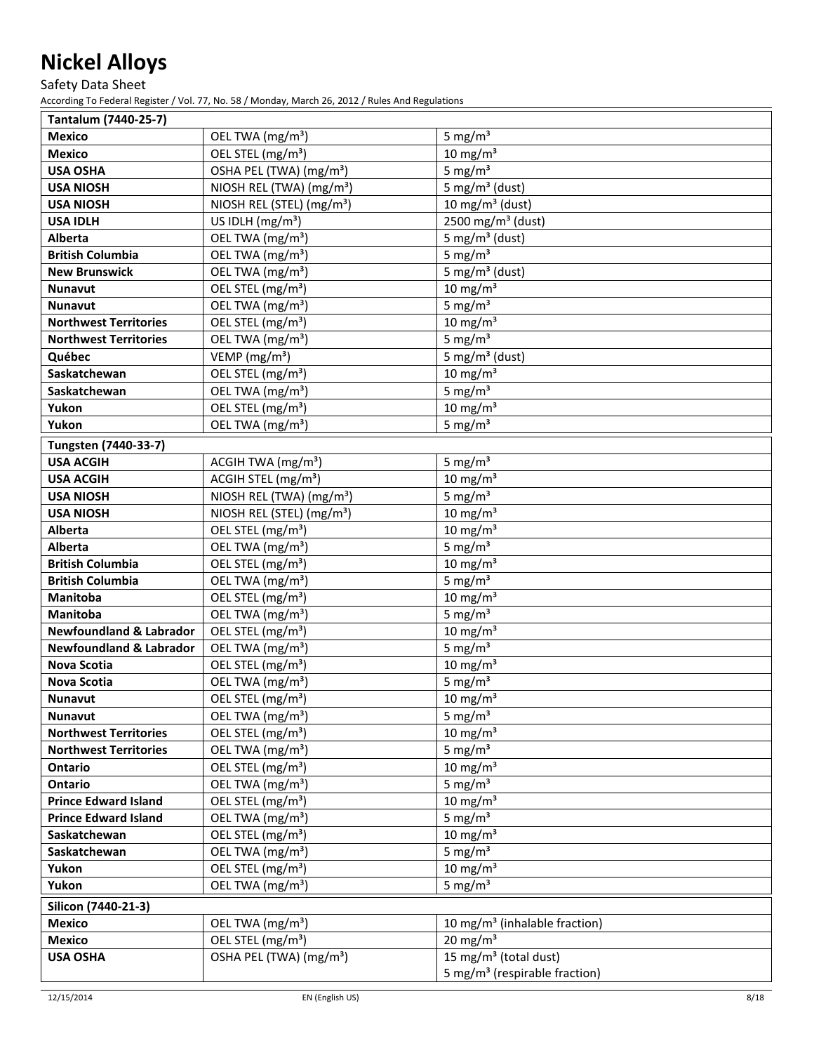Safety Data Sheet

| Tantalum (7440-25-7)                 |                                       |                                           |
|--------------------------------------|---------------------------------------|-------------------------------------------|
| <b>Mexico</b>                        | OEL TWA (mg/m <sup>3</sup> )          | 5 mg/ $m3$                                |
| <b>Mexico</b>                        | OEL STEL (mg/m <sup>3</sup> )         | $10 \text{ mg/m}^3$                       |
| <b>USA OSHA</b>                      | OSHA PEL (TWA) (mg/m <sup>3</sup> )   | 5 mg/ $m3$                                |
| <b>USA NIOSH</b>                     | NIOSH REL (TWA) (mg/m <sup>3</sup> )  | 5 mg/m <sup>3</sup> (dust)                |
| <b>USA NIOSH</b>                     | NIOSH REL (STEL) (mg/m <sup>3</sup> ) | 10 mg/m <sup>3</sup> (dust)               |
| <b>USA IDLH</b>                      | US IDLH $(mg/m3)$                     | 2500 mg/m <sup>3</sup> (dust)             |
| <b>Alberta</b>                       | OEL TWA (mg/m <sup>3</sup> )          | 5 mg/m <sup>3</sup> (dust)                |
| <b>British Columbia</b>              | OEL TWA (mg/m <sup>3</sup> )          | 5 mg/ $m3$                                |
| <b>New Brunswick</b>                 | OEL TWA (mg/m <sup>3</sup> )          | 5 mg/m <sup>3</sup> (dust)                |
| <b>Nunavut</b>                       | OEL STEL (mg/m <sup>3</sup> )         | $10 \text{ mg/m}^3$                       |
| <b>Nunavut</b>                       | OEL TWA (mg/m <sup>3</sup> )          | 5 mg/ $m3$                                |
| <b>Northwest Territories</b>         | OEL STEL (mg/m <sup>3</sup> )         | $10 \text{ mg/m}^3$                       |
| <b>Northwest Territories</b>         | OEL TWA (mg/m <sup>3</sup> )          | 5 mg/ $m3$                                |
| Québec                               | VEMP ( $mg/m3$ )                      | 5 mg/m <sup>3</sup> (dust)                |
| Saskatchewan                         | OEL STEL (mg/m <sup>3</sup> )         | $10 \text{ mg/m}^3$                       |
| Saskatchewan                         | OEL TWA (mg/m <sup>3</sup> )          | 5 mg/ $m3$                                |
| Yukon                                | OEL STEL (mg/m <sup>3</sup> )         | $10 \text{ mg/m}^3$                       |
| Yukon                                | OEL TWA (mg/m <sup>3</sup> )          | 5 mg/ $m3$                                |
| Tungsten (7440-33-7)                 |                                       |                                           |
| <b>USA ACGIH</b>                     | ACGIH TWA (mg/m <sup>3</sup> )        | 5 mg/ $m3$                                |
| <b>USA ACGIH</b>                     | ACGIH STEL (mg/m <sup>3</sup> )       | $10 \text{ mg/m}^3$                       |
| <b>USA NIOSH</b>                     | NIOSH REL (TWA) (mg/m <sup>3</sup> )  | 5 mg/ $m3$                                |
| <b>USA NIOSH</b>                     | NIOSH REL (STEL) (mg/m <sup>3</sup> ) | $10 \text{ mg/m}^3$                       |
| <b>Alberta</b>                       | OEL STEL (mg/m <sup>3</sup> )         | $10 \text{ mg/m}^3$                       |
| Alberta                              | OEL TWA (mg/m <sup>3</sup> )          | 5 mg/ $m3$                                |
| <b>British Columbia</b>              | OEL STEL (mg/m <sup>3</sup> )         | $10 \text{ mg/m}^3$                       |
| <b>British Columbia</b>              | OEL TWA (mg/m <sup>3</sup> )          | 5 mg/ $m3$                                |
| <b>Manitoba</b>                      | OEL STEL (mg/m <sup>3</sup> )         | $10 \text{ mg/m}^3$                       |
| Manitoba                             | OEL TWA (mg/m <sup>3</sup> )          | 5 mg/ $m3$                                |
| <b>Newfoundland &amp; Labrador</b>   | OEL STEL (mg/m <sup>3</sup> )         | $10 \text{ mg/m}^3$                       |
| <b>Newfoundland &amp; Labrador</b>   | OEL TWA (mg/m <sup>3</sup> )          | 5 mg/ $m3$                                |
| Nova Scotia                          | OEL STEL (mg/m <sup>3</sup> )         | $10 \text{ mg/m}^3$                       |
| <b>Nova Scotia</b>                   | OEL TWA (mg/m <sup>3</sup> )          | 5 mg/ $m3$                                |
| <b>Nunavut</b>                       | OEL STEL (mg/m <sup>3</sup> )         | $10 \text{ mg/m}^3$                       |
| Nunavut                              | OEL TWA (mg/m <sup>3</sup> )          | 5 mg/ $m3$                                |
| <b>Northwest Territories</b>         | OEL STEL (mg/m <sup>3</sup> )         | $10 \text{ mg/m}^3$                       |
| <b>Northwest Territories</b>         | OEL TWA (mg/m <sup>3</sup> )          | 5 mg/ $m3$                                |
| Ontario                              | OEL STEL (mg/m <sup>3</sup> )         | $10 \text{ mg/m}^3$                       |
| Ontario                              | OEL TWA (mg/m <sup>3</sup> )          | 5 mg/ $m3$                                |
| <b>Prince Edward Island</b>          | OEL STEL (mg/m <sup>3</sup> )         | $10 \text{ mg/m}^3$                       |
| <b>Prince Edward Island</b>          | OEL TWA (mg/m <sup>3</sup> )          | 5 mg/ $m3$                                |
| Saskatchewan                         | OEL STEL (mg/m <sup>3</sup> )         | $10 \text{ mg/m}^3$                       |
| Saskatchewan                         | OEL TWA (mg/m <sup>3</sup> )          | 5 mg/ $m3$                                |
| Yukon                                | OEL STEL (mg/m <sup>3</sup> )         | $10 \text{ mg/m}^3$                       |
| Yukon                                | OEL TWA (mg/m <sup>3</sup> )          | 5 mg/ $m3$                                |
|                                      |                                       |                                           |
| Silicon (7440-21-3)<br><b>Mexico</b> | OEL TWA (mg/m <sup>3</sup> )          | 10 mg/m <sup>3</sup> (inhalable fraction) |
|                                      |                                       | $20 \text{ mg/m}^3$                       |
| <b>Mexico</b>                        | OEL STEL (mg/m <sup>3</sup> )         |                                           |
| <b>USA OSHA</b>                      | OSHA PEL (TWA) (mg/m <sup>3</sup> )   | 15 mg/m <sup>3</sup> (total dust)         |
|                                      |                                       | 5 mg/m <sup>3</sup> (respirable fraction) |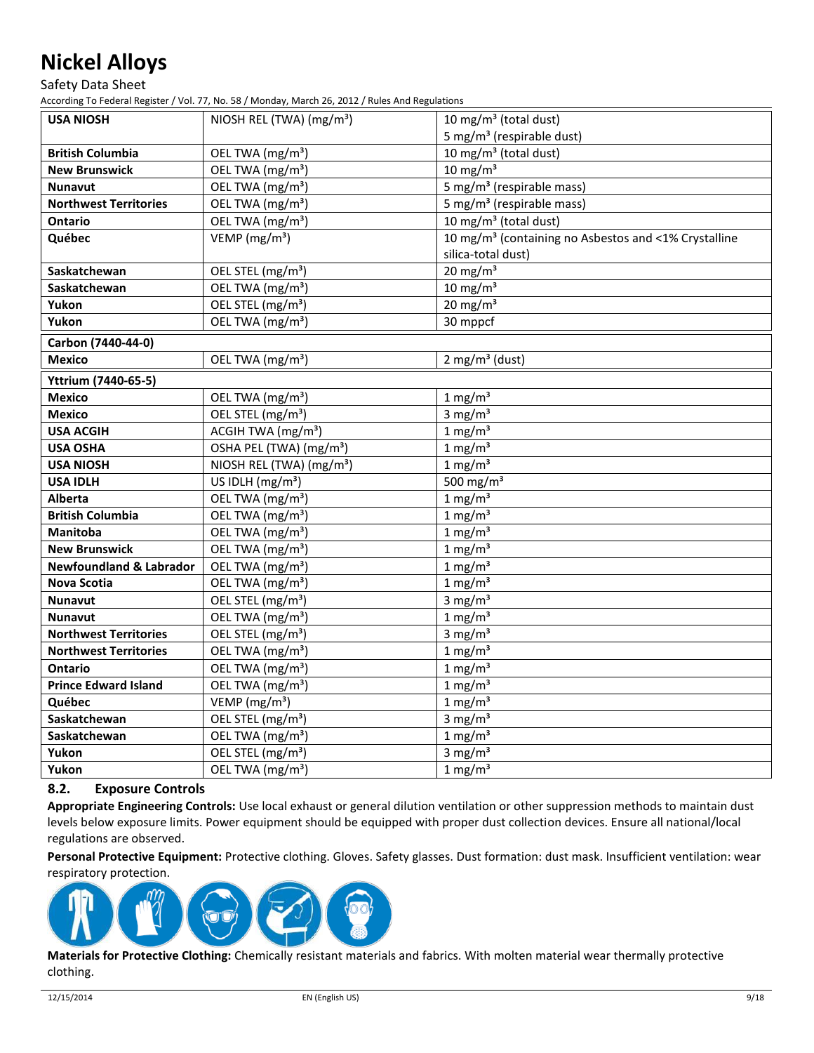Safety Data Sheet

According To Federal Register / Vol. 77, No. 58 / Monday, March 26, 2012 / Rules And Regulations

| <b>USA NIOSH</b>                   | NIOSH REL (TWA) (mg/m <sup>3</sup> )       | 10 mg/m <sup>3</sup> (total dust)                                |
|------------------------------------|--------------------------------------------|------------------------------------------------------------------|
|                                    |                                            | 5 mg/m <sup>3</sup> (respirable dust)                            |
| <b>British Columbia</b>            | OEL TWA (mg/m <sup>3</sup> )               | 10 mg/m <sup>3</sup> (total dust)                                |
| <b>New Brunswick</b>               | OEL TWA (mg/m <sup>3</sup> )               | $10 \text{ mg/m}^3$                                              |
| <b>Nunavut</b>                     | OEL TWA (mg/m <sup>3</sup> )               | 5 mg/m <sup>3</sup> (respirable mass)                            |
| <b>Northwest Territories</b>       | OEL TWA (mg/m <sup>3</sup> )               | 5 mg/m <sup>3</sup> (respirable mass)                            |
| <b>Ontario</b>                     | OEL TWA (mg/m <sup>3</sup> )               | 10 mg/m <sup>3</sup> (total dust)                                |
| Québec                             | VEMP ( $mg/m3$ )                           | 10 mg/m <sup>3</sup> (containing no Asbestos and <1% Crystalline |
|                                    |                                            | silica-total dust)                                               |
| Saskatchewan                       | OEL STEL (mg/m <sup>3</sup> )              | $20 \text{ mg/m}^3$                                              |
| Saskatchewan                       | $\overline{OE}$ L TWA (mg/m <sup>3</sup> ) | $10 \text{ mg/m}^3$                                              |
| Yukon                              | OEL STEL (mg/m <sup>3</sup> )              | $20 \text{ mg/m}^3$                                              |
| Yukon                              | OEL TWA (mg/m <sup>3</sup> )               | 30 mppcf                                                         |
| Carbon (7440-44-0)                 |                                            |                                                                  |
| <b>Mexico</b>                      | OEL TWA (mg/m <sup>3</sup> )               | $2$ mg/m <sup>3</sup> (dust)                                     |
| <b>Yttrium (7440-65-5)</b>         |                                            |                                                                  |
| <b>Mexico</b>                      | OEL TWA (mg/m <sup>3</sup> )               | $1 \text{ mg/m}^3$                                               |
| <b>Mexico</b>                      | OEL STEL (mg/m <sup>3</sup> )              | $3 \text{ mg/m}^3$                                               |
| <b>USA ACGIH</b>                   | ACGIH TWA (mg/m <sup>3</sup> )             | $1 \text{ mg/m}^3$                                               |
| <b>USA OSHA</b>                    | OSHA PEL (TWA) (mg/m <sup>3</sup> )        | $1 \text{ mg/m}^3$                                               |
| <b>USA NIOSH</b>                   | NIOSH REL (TWA) (mg/m <sup>3</sup> )       | $1 \text{ mg/m}^3$                                               |
| <b>USA IDLH</b>                    | US IDLH (mg/m <sup>3</sup> )               | 500 mg/m <sup>3</sup>                                            |
| <b>Alberta</b>                     | OEL TWA (mg/m <sup>3</sup> )               | $1 \text{ mg/m}^3$                                               |
| <b>British Columbia</b>            | OEL TWA (mg/m <sup>3</sup> )               | $1 \text{ mg/m}^3$                                               |
| <b>Manitoba</b>                    | OEL TWA (mg/m <sup>3</sup> )               | $1 \text{ mg/m}^3$                                               |
| <b>New Brunswick</b>               | OEL TWA (mg/m <sup>3</sup> )               | $1$ mg/m <sup>3</sup>                                            |
| <b>Newfoundland &amp; Labrador</b> | OEL TWA (mg/m <sup>3</sup> )               | $1 \text{ mg/m}^3$                                               |
| Nova Scotia                        | OEL TWA (mg/m <sup>3</sup> )               | $1 \text{ mg/m}^3$                                               |
| <b>Nunavut</b>                     | $\overline{OEL}$ STEL (mg/m <sup>3</sup> ) | 3 mg/ $m3$                                                       |
| <b>Nunavut</b>                     | OEL TWA (mg/m <sup>3</sup> )               | $1 \text{ mg/m}^3$                                               |
| <b>Northwest Territories</b>       | OEL STEL (mg/m <sup>3</sup> )              | 3 mg/ $m3$                                                       |
| <b>Northwest Territories</b>       | OEL TWA (mg/m <sup>3</sup> )               | $1 \text{ mg/m}^3$                                               |
| Ontario                            | OEL TWA (mg/m <sup>3</sup> )               | $1 \text{ mg/m}^3$                                               |
| <b>Prince Edward Island</b>        | OEL TWA (mg/m <sup>3</sup> )               | $1 \text{ mg/m}^3$                                               |
| Québec                             | VEMP ( $mg/m3$ )                           | $1 \text{ mg/m}^3$                                               |
| Saskatchewan                       | OEL STEL (mg/m <sup>3</sup> )              | 3 mg/ $m3$                                                       |
| Saskatchewan                       | OEL TWA (mg/m <sup>3</sup> )               | $1 \text{ mg/m}^3$                                               |
| Yukon                              | OEL STEL (mg/m <sup>3</sup> )              | 3 mg/ $m3$                                                       |
| Yukon                              | OEL TWA (mg/m <sup>3</sup> )               | $1 \text{ mg/m}^3$                                               |

# **8.2. Exposure Controls**

**Appropriate Engineering Controls:** Use local exhaust or general dilution ventilation or other suppression methods to maintain dust levels below exposure limits. Power equipment should be equipped with proper dust collection devices. Ensure all national/local regulations are observed.

**Personal Protective Equipment:** Protective clothing. Gloves. Safety glasses. Dust formation: dust mask. Insufficient ventilation: wear respiratory protection.



**Materials for Protective Clothing:** Chemically resistant materials and fabrics. With molten material wear thermally protective clothing.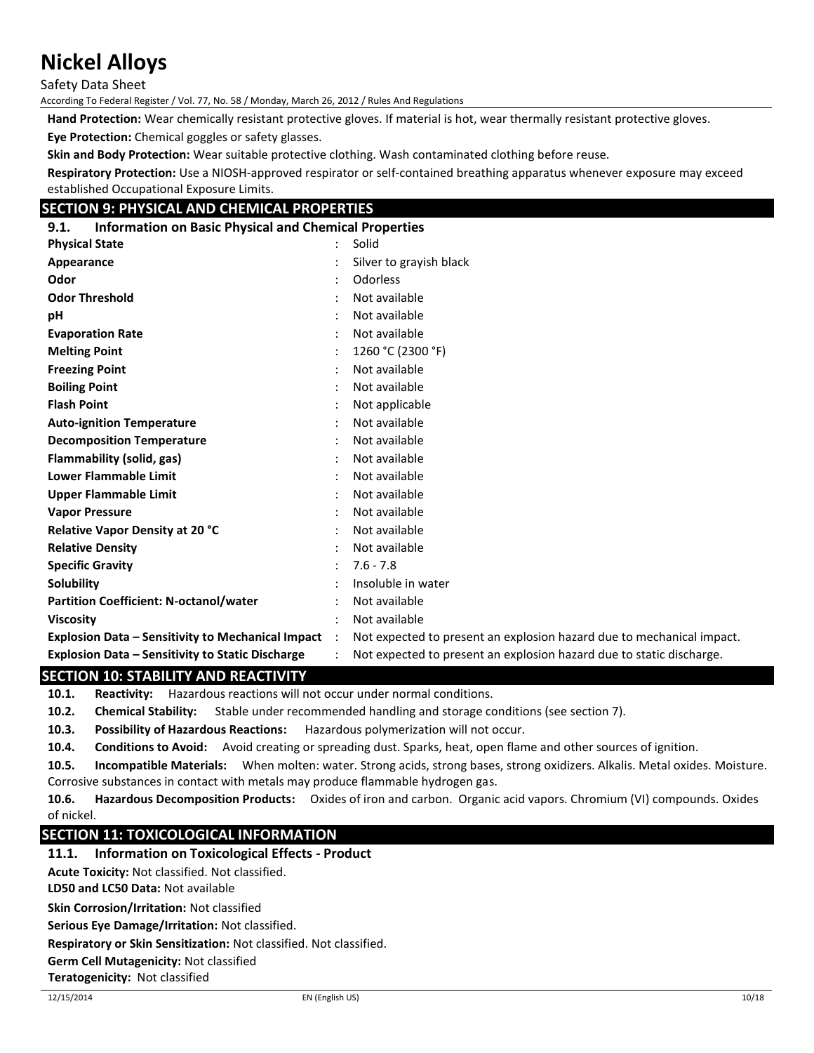Safety Data Sheet

According To Federal Register / Vol. 77, No. 58 / Monday, March 26, 2012 / Rules And Regulations

**Hand Protection:** Wear chemically resistant protective gloves. If material is hot, wear thermally resistant protective gloves.

**Eye Protection:** Chemical goggles or safety glasses.

**Skin and Body Protection:** Wear suitable protective clothing. Wash contaminated clothing before reuse.

**Respiratory Protection:** Use a NIOSH-approved respirator or self-contained breathing apparatus whenever exposure may exceed established Occupational Exposure Limits.

## **SECTION 9: PHYSICAL AND CHEMICAL PROPERTIES**

| <b>Information on Basic Physical and Chemical Properties</b><br>9.1. |  |                                                                       |
|----------------------------------------------------------------------|--|-----------------------------------------------------------------------|
| <b>Physical State</b>                                                |  | Solid                                                                 |
| Appearance                                                           |  | Silver to grayish black                                               |
| Odor                                                                 |  | Odorless                                                              |
| <b>Odor Threshold</b>                                                |  | Not available                                                         |
| рH                                                                   |  | Not available                                                         |
| <b>Evaporation Rate</b>                                              |  | Not available                                                         |
| <b>Melting Point</b>                                                 |  | 1260 °C (2300 °F)                                                     |
| <b>Freezing Point</b>                                                |  | Not available                                                         |
| <b>Boiling Point</b>                                                 |  | Not available                                                         |
| <b>Flash Point</b>                                                   |  | Not applicable                                                        |
| <b>Auto-ignition Temperature</b>                                     |  | Not available                                                         |
| <b>Decomposition Temperature</b>                                     |  | Not available                                                         |
| <b>Flammability (solid, gas)</b>                                     |  | Not available                                                         |
| <b>Lower Flammable Limit</b>                                         |  | Not available                                                         |
| <b>Upper Flammable Limit</b>                                         |  | Not available                                                         |
| <b>Vapor Pressure</b>                                                |  | Not available                                                         |
| Relative Vapor Density at 20 °C                                      |  | Not available                                                         |
| <b>Relative Density</b>                                              |  | Not available                                                         |
| <b>Specific Gravity</b>                                              |  | $7.6 - 7.8$                                                           |
| Solubility                                                           |  | Insoluble in water                                                    |
| <b>Partition Coefficient: N-octanol/water</b>                        |  | Not available                                                         |
| <b>Viscosity</b>                                                     |  | Not available                                                         |
| <b>Explosion Data - Sensitivity to Mechanical Impact</b> :           |  | Not expected to present an explosion hazard due to mechanical impact. |
| <b>Explosion Data - Sensitivity to Static Discharge</b>              |  | Not expected to present an explosion hazard due to static discharge.  |

#### **SECTION 10: STABILITY AND REACTIVITY**

**10.1. Reactivity:** Hazardous reactions will not occur under normal conditions.

**10.2. Chemical Stability:** Stable under recommended handling and storage conditions (see section 7).

**10.3. Possibility of Hazardous Reactions:** Hazardous polymerization will not occur.

**10.4. Conditions to Avoid:** Avoid creating or spreading dust. Sparks, heat, open flame and other sources of ignition.

**10.5. Incompatible Materials:** When molten: water. Strong acids, strong bases, strong oxidizers. Alkalis. Metal oxides. Moisture. Corrosive substances in contact with metals may produce flammable hydrogen gas.

**10.6. Hazardous Decomposition Products:** Oxides of iron and carbon. Organic acid vapors. Chromium (VI) compounds. Oxides of nickel.

### **SECTION 11: TOXICOLOGICAL INFORMATION**

#### **11.1. Information on Toxicological Effects - Product**

**Acute Toxicity:** Not classified. Not classified.

**LD50 and LC50 Data:** Not available

**Skin Corrosion/Irritation:** Not classified

**Serious Eye Damage/Irritation:** Not classified.

**Respiratory or Skin Sensitization:** Not classified. Not classified.

**Germ Cell Mutagenicity:** Not classified

**Teratogenicity:** Not classified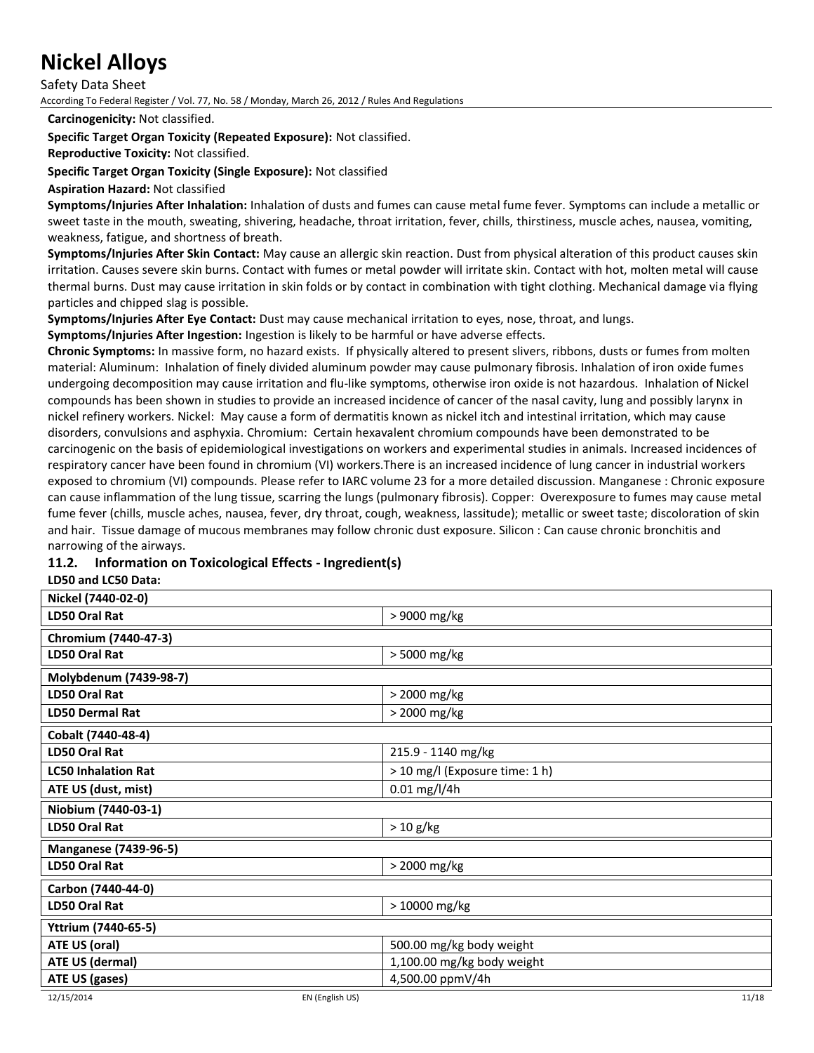Safety Data Sheet

According To Federal Register / Vol. 77, No. 58 / Monday, March 26, 2012 / Rules And Regulations

**Carcinogenicity:** Not classified.

**Specific Target Organ Toxicity (Repeated Exposure):** Not classified.

**Reproductive Toxicity:** Not classified.

**Specific Target Organ Toxicity (Single Exposure):** Not classified

**Aspiration Hazard:** Not classified

**Symptoms/Injuries After Inhalation:** Inhalation of dusts and fumes can cause metal fume fever. Symptoms can include a metallic or sweet taste in the mouth, sweating, shivering, headache, throat irritation, fever, chills, thirstiness, muscle aches, nausea, vomiting, weakness, fatigue, and shortness of breath.

**Symptoms/Injuries After Skin Contact:** May cause an allergic skin reaction. Dust from physical alteration of this product causes skin irritation. Causes severe skin burns. Contact with fumes or metal powder will irritate skin. Contact with hot, molten metal will cause thermal burns. Dust may cause irritation in skin folds or by contact in combination with tight clothing. Mechanical damage via flying particles and chipped slag is possible.

**Symptoms/Injuries After Eye Contact:** Dust may cause mechanical irritation to eyes, nose, throat, and lungs.

**Symptoms/Injuries After Ingestion:** Ingestion is likely to be harmful or have adverse effects.

**Chronic Symptoms:** In massive form, no hazard exists. If physically altered to present slivers, ribbons, dusts or fumes from molten material: Aluminum: Inhalation of finely divided aluminum powder may cause pulmonary fibrosis. Inhalation of iron oxide fumes undergoing decomposition may cause irritation and flu-like symptoms, otherwise iron oxide is not hazardous. Inhalation of Nickel compounds has been shown in studies to provide an increased incidence of cancer of the nasal cavity, lung and possibly larynx in nickel refinery workers. Nickel: May cause a form of dermatitis known as nickel itch and intestinal irritation, which may cause disorders, convulsions and asphyxia. Chromium: Certain hexavalent chromium compounds have been demonstrated to be carcinogenic on the basis of epidemiological investigations on workers and experimental studies in animals. Increased incidences of respiratory cancer have been found in chromium (VI) workers.There is an increased incidence of lung cancer in industrial workers exposed to chromium (VI) compounds. Please refer to IARC volume 23 for a more detailed discussion. Manganese : Chronic exposure can cause inflammation of the lung tissue, scarring the lungs (pulmonary fibrosis). Copper: Overexposure to fumes may cause metal fume fever (chills, muscle aches, nausea, fever, dry throat, cough, weakness, lassitude); metallic or sweet taste; discoloration of skin and hair. Tissue damage of mucous membranes may follow chronic dust exposure. Silicon : Can cause chronic bronchitis and narrowing of the airways.

# **11.2. Information on Toxicological Effects - Ingredient(s)**

#### **LD50 and LC50 Data:**

| Nickel (7440-02-0)           |                                |
|------------------------------|--------------------------------|
| LD50 Oral Rat                | > 9000 mg/kg                   |
| Chromium (7440-47-3)         |                                |
| LD50 Oral Rat                | > 5000 mg/kg                   |
| Molybdenum (7439-98-7)       |                                |
| <b>LD50 Oral Rat</b>         | > 2000 mg/kg                   |
| <b>LD50 Dermal Rat</b>       | > 2000 mg/kg                   |
| Cobalt (7440-48-4)           |                                |
| LD50 Oral Rat                | 215.9 - 1140 mg/kg             |
| <b>LC50 Inhalation Rat</b>   | > 10 mg/l (Exposure time: 1 h) |
| ATE US (dust, mist)          | 0.01 mg/l/4h                   |
| Niobium (7440-03-1)          |                                |
| LD50 Oral Rat                | $> 10$ g/kg                    |
| <b>Manganese (7439-96-5)</b> |                                |
| LD50 Oral Rat                | > 2000 mg/kg                   |
| Carbon (7440-44-0)           |                                |
| LD50 Oral Rat                | > 10000 mg/kg                  |
| Yttrium (7440-65-5)          |                                |
| ATE US (oral)                | 500.00 mg/kg body weight       |
| ATE US (dermal)              | 1,100.00 mg/kg body weight     |
| ATE US (gases)               | 4,500.00 ppmV/4h               |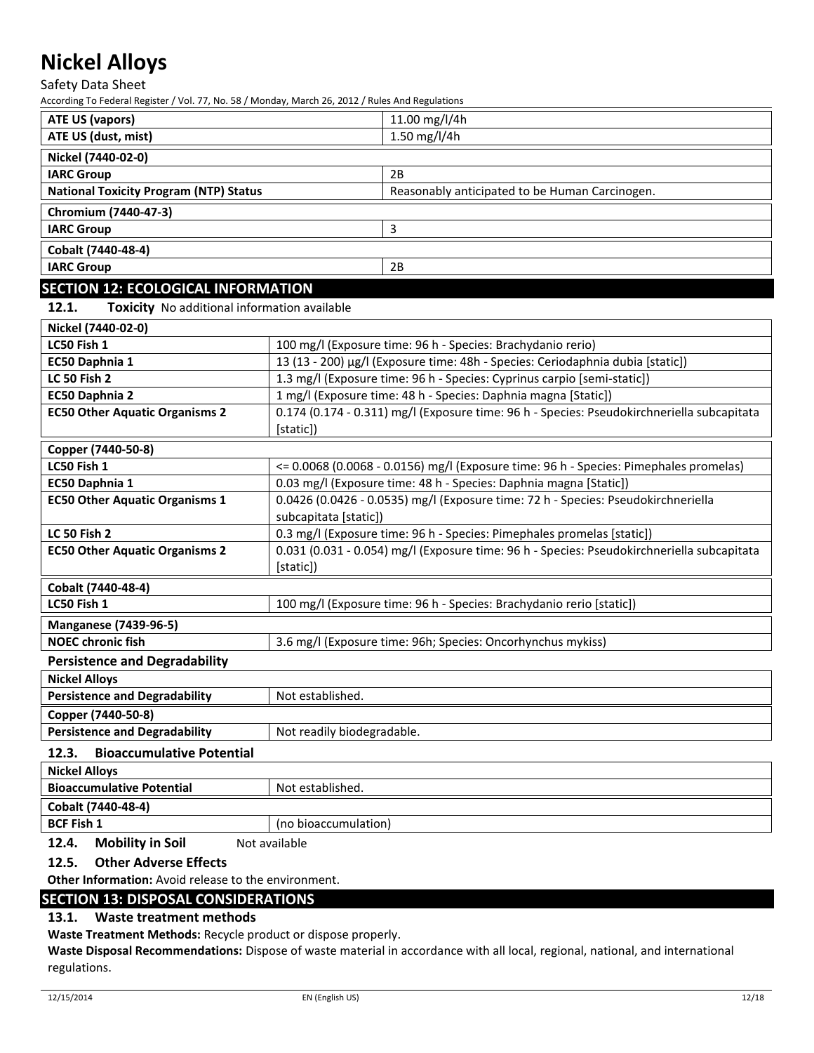Safety Data Sheet

According To Federal Register / Vol. 77, No. 58 / Monday, March 26, 2012 / Rules And Regulations

| <b>ATE US (vapors)</b>                        | 11.00 mg/l/4h                                  |
|-----------------------------------------------|------------------------------------------------|
| ATE US (dust, mist)                           | 1.50 mg/l/4h                                   |
| Nickel (7440-02-0)                            |                                                |
| <b>IARC Group</b>                             | 2B                                             |
| <b>National Toxicity Program (NTP) Status</b> | Reasonably anticipated to be Human Carcinogen. |
| Chromium (7440-47-3)                          |                                                |
| <b>IARC Group</b>                             | ੨                                              |
| Cobalt (7440-48-4)                            |                                                |
| <b>IARC Group</b>                             | 2B                                             |
| <b>SECTION 12: ECOLOGICAL INFORMATION</b>     |                                                |

**12.1. Toxicity** No additional information available

| Nickel (7440-02-0)                        |                                                                                            |  |  |
|-------------------------------------------|--------------------------------------------------------------------------------------------|--|--|
| LC50 Fish 1                               | 100 mg/l (Exposure time: 96 h - Species: Brachydanio rerio)                                |  |  |
| EC50 Daphnia 1                            | 13 (13 - 200) µg/l (Exposure time: 48h - Species: Ceriodaphnia dubia [static])             |  |  |
| <b>LC 50 Fish 2</b>                       | 1.3 mg/l (Exposure time: 96 h - Species: Cyprinus carpio [semi-static])                    |  |  |
| EC50 Daphnia 2                            | 1 mg/l (Exposure time: 48 h - Species: Daphnia magna [Static])                             |  |  |
| <b>EC50 Other Aquatic Organisms 2</b>     | 0.174 (0.174 - 0.311) mg/l (Exposure time: 96 h - Species: Pseudokirchneriella subcapitata |  |  |
|                                           | [static])                                                                                  |  |  |
| Copper (7440-50-8)                        |                                                                                            |  |  |
| LC50 Fish 1                               | <= 0.0068 (0.0068 - 0.0156) mg/l (Exposure time: 96 h - Species: Pimephales promelas)      |  |  |
| EC50 Daphnia 1                            | 0.03 mg/l (Exposure time: 48 h - Species: Daphnia magna [Static])                          |  |  |
| <b>EC50 Other Aquatic Organisms 1</b>     | 0.0426 (0.0426 - 0.0535) mg/l (Exposure time: 72 h - Species: Pseudokirchneriella          |  |  |
|                                           | subcapitata [static])                                                                      |  |  |
| <b>LC 50 Fish 2</b>                       | 0.3 mg/l (Exposure time: 96 h - Species: Pimephales promelas [static])                     |  |  |
| <b>EC50 Other Aquatic Organisms 2</b>     | 0.031 (0.031 - 0.054) mg/l (Exposure time: 96 h - Species: Pseudokirchneriella subcapitata |  |  |
|                                           | [static])                                                                                  |  |  |
| Cobalt (7440-48-4)                        |                                                                                            |  |  |
| LC50 Fish 1                               | 100 mg/l (Exposure time: 96 h - Species: Brachydanio rerio [static])                       |  |  |
| <b>Manganese (7439-96-5)</b>              |                                                                                            |  |  |
| <b>NOEC chronic fish</b>                  | 3.6 mg/l (Exposure time: 96h; Species: Oncorhynchus mykiss)                                |  |  |
| <b>Persistence and Degradability</b>      |                                                                                            |  |  |
| <b>Nickel Alloys</b>                      |                                                                                            |  |  |
| <b>Persistence and Degradability</b>      | Not established.                                                                           |  |  |
| Copper (7440-50-8)                        |                                                                                            |  |  |
| <b>Persistence and Degradability</b>      | Not readily biodegradable.                                                                 |  |  |
| <b>Bioaccumulative Potential</b><br>12.3. |                                                                                            |  |  |
| <b>Nickel Alloys</b>                      |                                                                                            |  |  |
| <b>Bioaccumulative Potential</b>          | Not established.                                                                           |  |  |

**12.4. Mobility in Soil** Not available

### **12.5. Other Adverse Effects**

**Cobalt (7440-48-4)**

**Other Information:** Avoid release to the environment.

# **SECTION 13: DISPOSAL CONSIDERATIONS**

# **13.1. Waste treatment methods**

**Waste Treatment Methods:** Recycle product or dispose properly.

**BCF Fish 1** (no bioaccumulation)

**Waste Disposal Recommendations:** Dispose of waste material in accordance with all local, regional, national, and international regulations.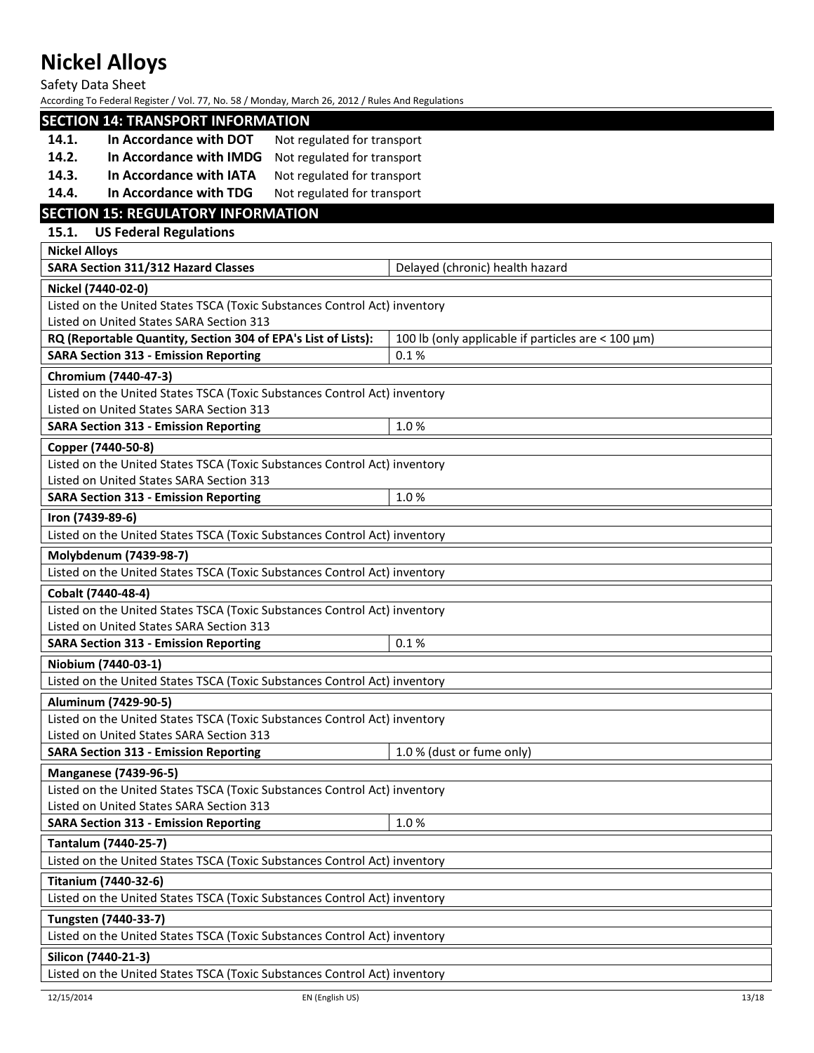Safety Data Sheet

|                      | <b>SECTION 14: TRANSPORT INFORMATION</b>                                                                              |                                                           |
|----------------------|-----------------------------------------------------------------------------------------------------------------------|-----------------------------------------------------------|
| 14.1.                | In Accordance with DOT<br>Not regulated for transport                                                                 |                                                           |
| 14.2.                | In Accordance with IMDG<br>Not regulated for transport                                                                |                                                           |
| 14.3.                | In Accordance with IATA<br>Not regulated for transport                                                                |                                                           |
| 14.4.                | In Accordance with TDG<br>Not regulated for transport                                                                 |                                                           |
|                      | <b>SECTION 15: REGULATORY INFORMATION</b>                                                                             |                                                           |
| 15.1.                | <b>US Federal Regulations</b>                                                                                         |                                                           |
| <b>Nickel Alloys</b> |                                                                                                                       |                                                           |
|                      | SARA Section 311/312 Hazard Classes                                                                                   | Delayed (chronic) health hazard                           |
|                      | Nickel (7440-02-0)                                                                                                    |                                                           |
|                      | Listed on the United States TSCA (Toxic Substances Control Act) inventory                                             |                                                           |
|                      | Listed on United States SARA Section 313                                                                              |                                                           |
|                      | RQ (Reportable Quantity, Section 304 of EPA's List of Lists):                                                         | 100 lb (only applicable if particles are $<$ 100 $\mu$ m) |
|                      | <b>SARA Section 313 - Emission Reporting</b>                                                                          | 0.1%                                                      |
|                      | Chromium (7440-47-3)                                                                                                  |                                                           |
|                      | Listed on the United States TSCA (Toxic Substances Control Act) inventory                                             |                                                           |
|                      | Listed on United States SARA Section 313                                                                              |                                                           |
|                      | <b>SARA Section 313 - Emission Reporting</b>                                                                          | 1.0%                                                      |
|                      | Copper (7440-50-8)                                                                                                    |                                                           |
|                      | Listed on the United States TSCA (Toxic Substances Control Act) inventory<br>Listed on United States SARA Section 313 |                                                           |
|                      | <b>SARA Section 313 - Emission Reporting</b>                                                                          | 1.0%                                                      |
|                      |                                                                                                                       |                                                           |
|                      | Iron (7439-89-6)<br>Listed on the United States TSCA (Toxic Substances Control Act) inventory                         |                                                           |
|                      |                                                                                                                       |                                                           |
|                      | Molybdenum (7439-98-7)<br>Listed on the United States TSCA (Toxic Substances Control Act) inventory                   |                                                           |
|                      |                                                                                                                       |                                                           |
|                      |                                                                                                                       |                                                           |
|                      | Cobalt (7440-48-4)                                                                                                    |                                                           |
|                      | Listed on the United States TSCA (Toxic Substances Control Act) inventory                                             |                                                           |
|                      | Listed on United States SARA Section 313                                                                              |                                                           |
|                      | <b>SARA Section 313 - Emission Reporting</b>                                                                          | 0.1%                                                      |
|                      | Niobium (7440-03-1)                                                                                                   |                                                           |
|                      | Listed on the United States TSCA (Toxic Substances Control Act) inventory                                             |                                                           |
|                      | Aluminum (7429-90-5)                                                                                                  |                                                           |
|                      | Listed on the United States TSCA (Toxic Substances Control Act) inventory                                             |                                                           |
|                      | Listed on United States SARA Section 313                                                                              | 1.0 % (dust or fume only)                                 |
|                      | <b>SARA Section 313 - Emission Reporting</b>                                                                          |                                                           |
|                      | <b>Manganese (7439-96-5)</b>                                                                                          |                                                           |
|                      | Listed on the United States TSCA (Toxic Substances Control Act) inventory<br>Listed on United States SARA Section 313 |                                                           |
|                      | <b>SARA Section 313 - Emission Reporting</b>                                                                          | 1.0%                                                      |
|                      | Tantalum (7440-25-7)                                                                                                  |                                                           |
|                      | Listed on the United States TSCA (Toxic Substances Control Act) inventory                                             |                                                           |
|                      | <b>Titanium (7440-32-6)</b>                                                                                           |                                                           |
|                      | Listed on the United States TSCA (Toxic Substances Control Act) inventory                                             |                                                           |
|                      | Tungsten (7440-33-7)                                                                                                  |                                                           |
|                      | Listed on the United States TSCA (Toxic Substances Control Act) inventory                                             |                                                           |
|                      | Silicon (7440-21-3)                                                                                                   |                                                           |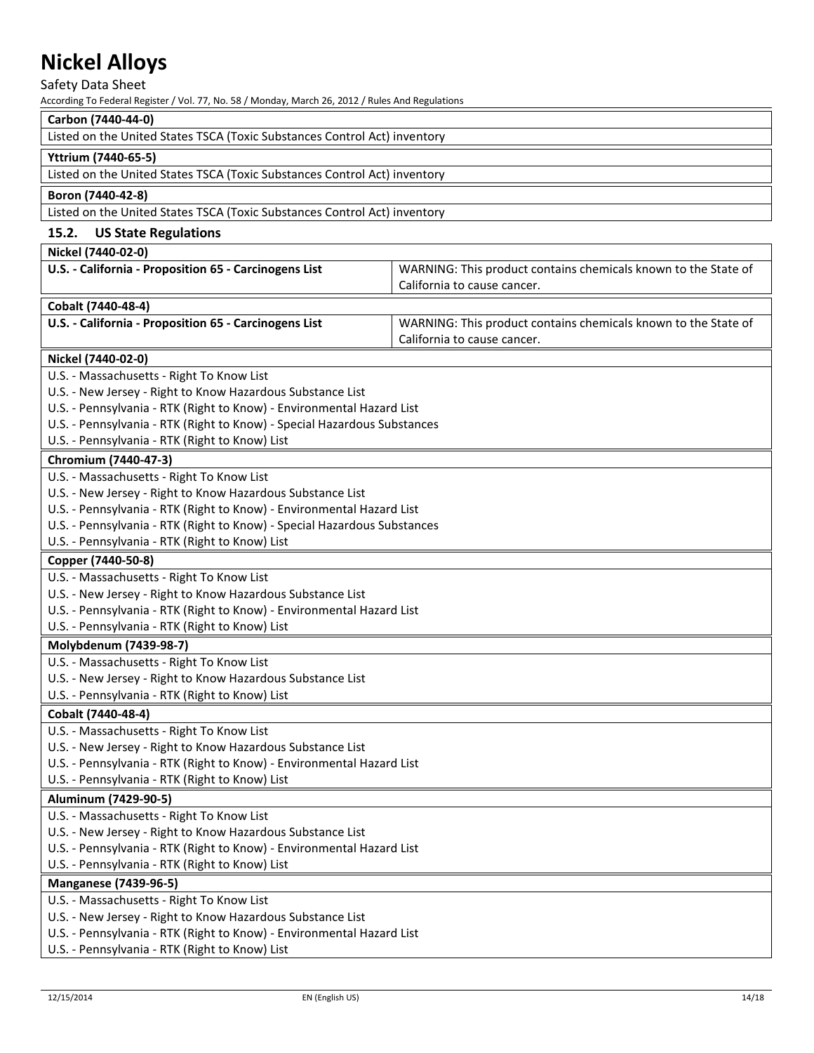Safety Data Sheet

| Carbon (7440-44-0)                                                                                                                  |                                                                |  |
|-------------------------------------------------------------------------------------------------------------------------------------|----------------------------------------------------------------|--|
| Listed on the United States TSCA (Toxic Substances Control Act) inventory                                                           |                                                                |  |
| Yttrium (7440-65-5)                                                                                                                 |                                                                |  |
| Listed on the United States TSCA (Toxic Substances Control Act) inventory                                                           |                                                                |  |
| Boron (7440-42-8)                                                                                                                   |                                                                |  |
| Listed on the United States TSCA (Toxic Substances Control Act) inventory                                                           |                                                                |  |
| 15.2.<br><b>US State Regulations</b>                                                                                                |                                                                |  |
| Nickel (7440-02-0)                                                                                                                  |                                                                |  |
| U.S. - California - Proposition 65 - Carcinogens List                                                                               | WARNING: This product contains chemicals known to the State of |  |
|                                                                                                                                     | California to cause cancer.                                    |  |
| Cobalt (7440-48-4)                                                                                                                  |                                                                |  |
| U.S. - California - Proposition 65 - Carcinogens List                                                                               | WARNING: This product contains chemicals known to the State of |  |
|                                                                                                                                     | California to cause cancer.                                    |  |
| Nickel (7440-02-0)                                                                                                                  |                                                                |  |
| U.S. - Massachusetts - Right To Know List                                                                                           |                                                                |  |
| U.S. - New Jersey - Right to Know Hazardous Substance List                                                                          |                                                                |  |
| U.S. - Pennsylvania - RTK (Right to Know) - Environmental Hazard List                                                               |                                                                |  |
| U.S. - Pennsylvania - RTK (Right to Know) - Special Hazardous Substances                                                            |                                                                |  |
| U.S. - Pennsylvania - RTK (Right to Know) List                                                                                      |                                                                |  |
| Chromium (7440-47-3)                                                                                                                |                                                                |  |
| U.S. - Massachusetts - Right To Know List                                                                                           |                                                                |  |
| U.S. - New Jersey - Right to Know Hazardous Substance List                                                                          |                                                                |  |
| U.S. - Pennsylvania - RTK (Right to Know) - Environmental Hazard List                                                               |                                                                |  |
| U.S. - Pennsylvania - RTK (Right to Know) - Special Hazardous Substances                                                            |                                                                |  |
| U.S. - Pennsylvania - RTK (Right to Know) List                                                                                      |                                                                |  |
| Copper (7440-50-8)                                                                                                                  |                                                                |  |
| U.S. - Massachusetts - Right To Know List                                                                                           |                                                                |  |
| U.S. - New Jersey - Right to Know Hazardous Substance List                                                                          |                                                                |  |
| U.S. - Pennsylvania - RTK (Right to Know) - Environmental Hazard List                                                               |                                                                |  |
| U.S. - Pennsylvania - RTK (Right to Know) List                                                                                      |                                                                |  |
| Molybdenum (7439-98-7)                                                                                                              |                                                                |  |
| U.S. - Massachusetts - Right To Know List                                                                                           |                                                                |  |
| U.S. - New Jersey - Right to Know Hazardous Substance List                                                                          |                                                                |  |
| U.S. - Pennsylvania - RTK (Right to Know) List                                                                                      |                                                                |  |
| Cobalt (7440-48-4)                                                                                                                  |                                                                |  |
| U.S. - Massachusetts - Right To Know List                                                                                           |                                                                |  |
| U.S. - New Jersey - Right to Know Hazardous Substance List                                                                          |                                                                |  |
| U.S. - Pennsylvania - RTK (Right to Know) - Environmental Hazard List                                                               |                                                                |  |
| U.S. - Pennsylvania - RTK (Right to Know) List                                                                                      |                                                                |  |
| Aluminum (7429-90-5)                                                                                                                |                                                                |  |
| U.S. - Massachusetts - Right To Know List                                                                                           |                                                                |  |
| U.S. - New Jersey - Right to Know Hazardous Substance List                                                                          |                                                                |  |
| U.S. - Pennsylvania - RTK (Right to Know) - Environmental Hazard List                                                               |                                                                |  |
| U.S. - Pennsylvania - RTK (Right to Know) List                                                                                      |                                                                |  |
| <b>Manganese (7439-96-5)</b>                                                                                                        |                                                                |  |
| U.S. - Massachusetts - Right To Know List                                                                                           |                                                                |  |
| U.S. - New Jersey - Right to Know Hazardous Substance List<br>U.S. - Pennsylvania - RTK (Right to Know) - Environmental Hazard List |                                                                |  |
| U.S. - Pennsylvania - RTK (Right to Know) List                                                                                      |                                                                |  |
|                                                                                                                                     |                                                                |  |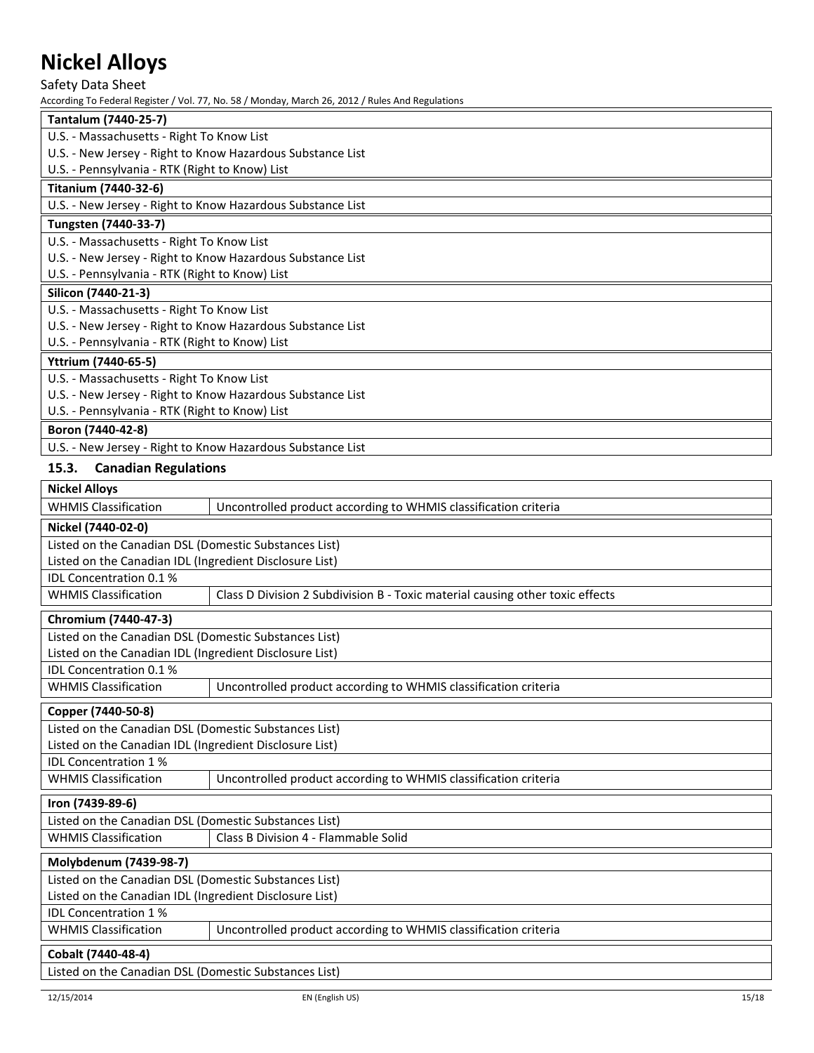Safety Data Sheet

According To Federal Register / Vol. 77, No. 58 / Monday, March 26, 2012 / Rules And Regulations

| Tantalum (7440-25-7)                                                                                                                            |
|-------------------------------------------------------------------------------------------------------------------------------------------------|
| U.S. - Massachusetts - Right To Know List                                                                                                       |
| U.S. - New Jersey - Right to Know Hazardous Substance List                                                                                      |
| U.S. - Pennsylvania - RTK (Right to Know) List                                                                                                  |
| Titanium (7440-32-6)                                                                                                                            |
| U.S. - New Jersey - Right to Know Hazardous Substance List                                                                                      |
| Tungsten (7440-33-7)                                                                                                                            |
| U.S. - Massachusetts - Right To Know List                                                                                                       |
| U.S. - New Jersey - Right to Know Hazardous Substance List                                                                                      |
| U.S. - Pennsylvania - RTK (Right to Know) List                                                                                                  |
| Silicon (7440-21-3)                                                                                                                             |
| U.S. - Massachusetts - Right To Know List                                                                                                       |
| U.S. - New Jersey - Right to Know Hazardous Substance List                                                                                      |
| U.S. - Pennsylvania - RTK (Right to Know) List                                                                                                  |
| Yttrium (7440-65-5)                                                                                                                             |
| U.S. - Massachusetts - Right To Know List                                                                                                       |
| U.S. - New Jersey - Right to Know Hazardous Substance List                                                                                      |
| U.S. - Pennsylvania - RTK (Right to Know) List                                                                                                  |
| Boron (7440-42-8)                                                                                                                               |
| U.S. - New Jersey - Right to Know Hazardous Substance List                                                                                      |
| $\mathbf{A} \mathbf{F}$ , $\mathbf{A}$ . $\mathbf{A}$ . $\mathbf{A}$ . $\mathbf{A}$ . $\mathbf{B}$ . $\mathbf{A}$ . $\mathbf{A}$ . $\mathbf{A}$ |

### **15.3. Canadian Regulations**

| <b>Nickel Alloys</b>                                    |                                                                               |  |  |  |  |
|---------------------------------------------------------|-------------------------------------------------------------------------------|--|--|--|--|
| <b>WHMIS Classification</b>                             | Uncontrolled product according to WHMIS classification criteria               |  |  |  |  |
| Nickel (7440-02-0)                                      |                                                                               |  |  |  |  |
| Listed on the Canadian DSL (Domestic Substances List)   |                                                                               |  |  |  |  |
| Listed on the Canadian IDL (Ingredient Disclosure List) |                                                                               |  |  |  |  |
| IDL Concentration 0.1 %                                 |                                                                               |  |  |  |  |
| <b>WHMIS Classification</b>                             | Class D Division 2 Subdivision B - Toxic material causing other toxic effects |  |  |  |  |
| Chromium (7440-47-3)                                    |                                                                               |  |  |  |  |
| Listed on the Canadian DSL (Domestic Substances List)   |                                                                               |  |  |  |  |
| Listed on the Canadian IDL (Ingredient Disclosure List) |                                                                               |  |  |  |  |
| IDL Concentration 0.1 %                                 |                                                                               |  |  |  |  |
| <b>WHMIS Classification</b>                             | Uncontrolled product according to WHMIS classification criteria               |  |  |  |  |
| Copper (7440-50-8)                                      |                                                                               |  |  |  |  |
| Listed on the Canadian DSL (Domestic Substances List)   |                                                                               |  |  |  |  |
| Listed on the Canadian IDL (Ingredient Disclosure List) |                                                                               |  |  |  |  |
| <b>IDL Concentration 1%</b>                             |                                                                               |  |  |  |  |
| <b>WHMIS Classification</b>                             | Uncontrolled product according to WHMIS classification criteria               |  |  |  |  |
| Iron (7439-89-6)                                        |                                                                               |  |  |  |  |
| Listed on the Canadian DSL (Domestic Substances List)   |                                                                               |  |  |  |  |
| <b>WHMIS Classification</b>                             | Class B Division 4 - Flammable Solid                                          |  |  |  |  |
| Molybdenum (7439-98-7)                                  |                                                                               |  |  |  |  |
| Listed on the Canadian DSL (Domestic Substances List)   |                                                                               |  |  |  |  |
| Listed on the Canadian IDL (Ingredient Disclosure List) |                                                                               |  |  |  |  |
| <b>IDL Concentration 1%</b>                             |                                                                               |  |  |  |  |
| <b>WHMIS Classification</b>                             | Uncontrolled product according to WHMIS classification criteria               |  |  |  |  |
| Cobalt (7440-48-4)                                      |                                                                               |  |  |  |  |

Listed on the Canadian DSL (Domestic Substances List)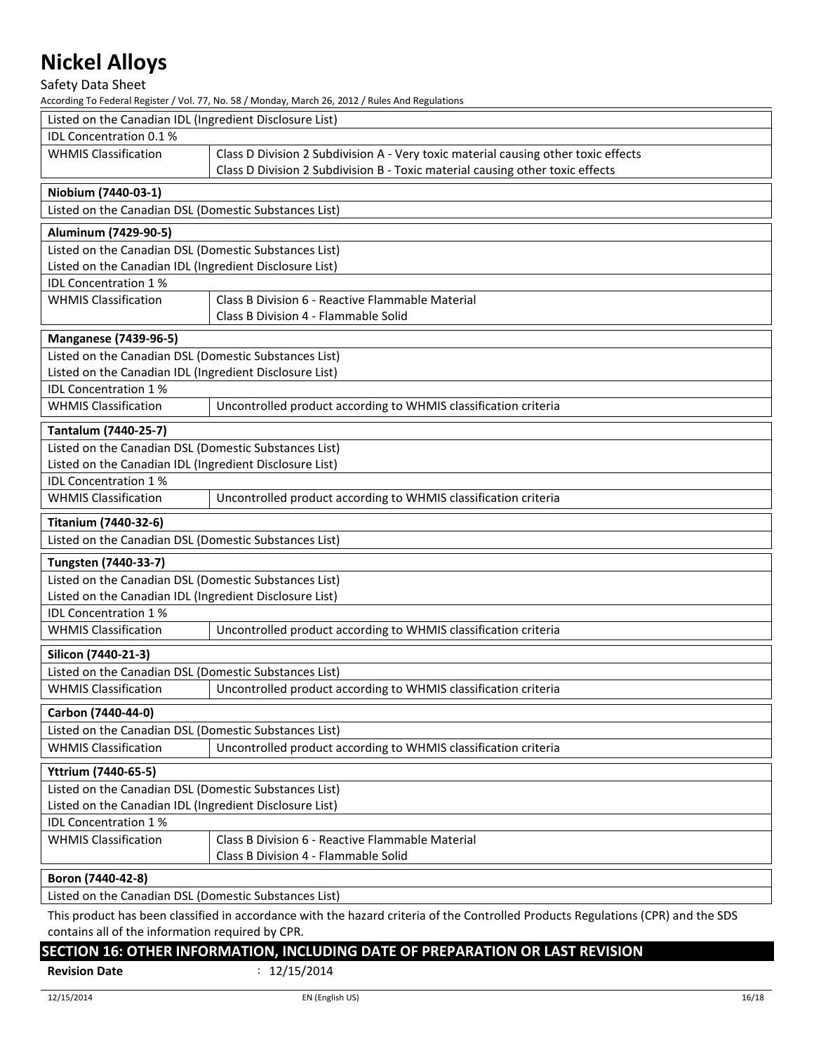Safety Data Sheet

According To Federal Register / Vol. 77, No. 58 / Monday, March 26, 2012 / Rules And Regulations

| Listed on the Canadian IDL (Ingredient Disclosure List) |                                                                                                                                  |  |  |
|---------------------------------------------------------|----------------------------------------------------------------------------------------------------------------------------------|--|--|
| <b>IDL Concentration 0.1%</b>                           |                                                                                                                                  |  |  |
| <b>WHMIS Classification</b>                             | Class D Division 2 Subdivision A - Very toxic material causing other toxic effects                                               |  |  |
|                                                         | Class D Division 2 Subdivision B - Toxic material causing other toxic effects                                                    |  |  |
| Niobium (7440-03-1)                                     |                                                                                                                                  |  |  |
| Listed on the Canadian DSL (Domestic Substances List)   |                                                                                                                                  |  |  |
| Aluminum (7429-90-5)                                    |                                                                                                                                  |  |  |
| Listed on the Canadian DSL (Domestic Substances List)   |                                                                                                                                  |  |  |
| Listed on the Canadian IDL (Ingredient Disclosure List) |                                                                                                                                  |  |  |
| IDL Concentration 1%                                    |                                                                                                                                  |  |  |
| <b>WHMIS Classification</b>                             | Class B Division 6 - Reactive Flammable Material                                                                                 |  |  |
|                                                         | Class B Division 4 - Flammable Solid                                                                                             |  |  |
| <b>Manganese (7439-96-5)</b>                            |                                                                                                                                  |  |  |
| Listed on the Canadian DSL (Domestic Substances List)   |                                                                                                                                  |  |  |
| Listed on the Canadian IDL (Ingredient Disclosure List) |                                                                                                                                  |  |  |
| IDL Concentration 1%                                    |                                                                                                                                  |  |  |
| <b>WHMIS Classification</b>                             | Uncontrolled product according to WHMIS classification criteria                                                                  |  |  |
| Tantalum (7440-25-7)                                    |                                                                                                                                  |  |  |
| Listed on the Canadian DSL (Domestic Substances List)   |                                                                                                                                  |  |  |
| Listed on the Canadian IDL (Ingredient Disclosure List) |                                                                                                                                  |  |  |
| IDL Concentration 1%                                    |                                                                                                                                  |  |  |
| <b>WHMIS Classification</b>                             | Uncontrolled product according to WHMIS classification criteria                                                                  |  |  |
| <b>Titanium (7440-32-6)</b>                             |                                                                                                                                  |  |  |
| Listed on the Canadian DSL (Domestic Substances List)   |                                                                                                                                  |  |  |
| Tungsten (7440-33-7)                                    |                                                                                                                                  |  |  |
| Listed on the Canadian DSL (Domestic Substances List)   |                                                                                                                                  |  |  |
| Listed on the Canadian IDL (Ingredient Disclosure List) |                                                                                                                                  |  |  |
| IDL Concentration 1%                                    |                                                                                                                                  |  |  |
| <b>WHMIS Classification</b>                             | Uncontrolled product according to WHMIS classification criteria                                                                  |  |  |
| Silicon (7440-21-3)                                     |                                                                                                                                  |  |  |
| Listed on the Canadian DSL (Domestic Substances List)   |                                                                                                                                  |  |  |
| <b>WHMIS Classification</b>                             | Uncontrolled product according to WHMIS classification criteria                                                                  |  |  |
| Carbon (7440-44-0)                                      |                                                                                                                                  |  |  |
| Listed on the Canadian DSL (Domestic Substances List)   |                                                                                                                                  |  |  |
| <b>WHMIS Classification</b>                             | Uncontrolled product according to WHMIS classification criteria                                                                  |  |  |
| Yttrium (7440-65-5)                                     |                                                                                                                                  |  |  |
| Listed on the Canadian DSL (Domestic Substances List)   |                                                                                                                                  |  |  |
| Listed on the Canadian IDL (Ingredient Disclosure List) |                                                                                                                                  |  |  |
| <b>IDL Concentration 1%</b>                             |                                                                                                                                  |  |  |
| <b>WHMIS Classification</b>                             | Class B Division 6 - Reactive Flammable Material                                                                                 |  |  |
|                                                         | Class B Division 4 - Flammable Solid                                                                                             |  |  |
| Boron (7440-42-8)                                       |                                                                                                                                  |  |  |
| Listed on the Canadian DSL (Domestic Substances List)   |                                                                                                                                  |  |  |
|                                                         | This product has been classified in accordance with the hazard criteria of the Controlled Products Regulations (CPR) and the SDS |  |  |
|                                                         |                                                                                                                                  |  |  |

contains all of the information required by CPR.

### **SECTION 16: OTHER INFORMATION, INCLUDING DATE OF PREPARATION OR LAST REVISION**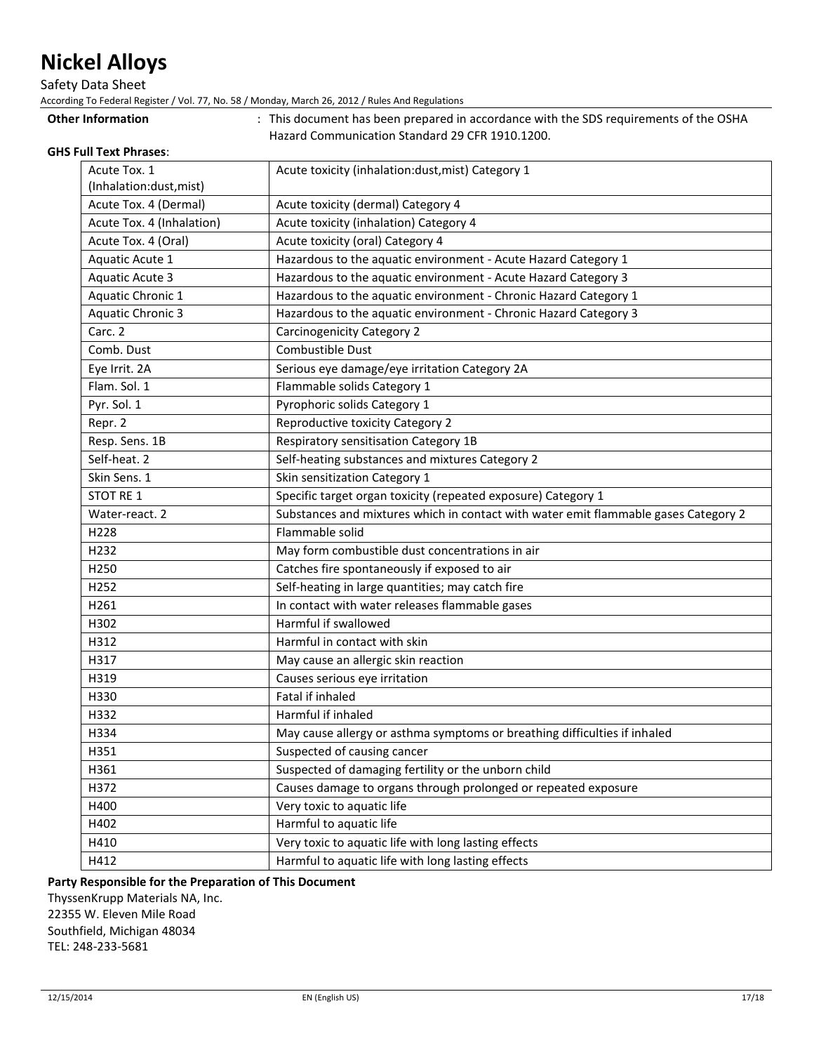Safety Data Sheet

According To Federal Register / Vol. 77, No. 58 / Monday, March 26, 2012 / Rules And Regulations

| Acute Tox. 1              | Acute toxicity (inhalation:dust, mist) Category 1                                   |
|---------------------------|-------------------------------------------------------------------------------------|
| (Inhalation:dust, mist)   |                                                                                     |
| Acute Tox. 4 (Dermal)     | Acute toxicity (dermal) Category 4                                                  |
| Acute Tox. 4 (Inhalation) | Acute toxicity (inhalation) Category 4                                              |
| Acute Tox. 4 (Oral)       | Acute toxicity (oral) Category 4                                                    |
| Aquatic Acute 1           | Hazardous to the aquatic environment - Acute Hazard Category 1                      |
| <b>Aquatic Acute 3</b>    | Hazardous to the aquatic environment - Acute Hazard Category 3                      |
| Aquatic Chronic 1         | Hazardous to the aquatic environment - Chronic Hazard Category 1                    |
| <b>Aquatic Chronic 3</b>  | Hazardous to the aquatic environment - Chronic Hazard Category 3                    |
| Carc. 2                   | <b>Carcinogenicity Category 2</b>                                                   |
| Comb. Dust                | Combustible Dust                                                                    |
| Eye Irrit. 2A             | Serious eye damage/eye irritation Category 2A                                       |
| Flam. Sol. 1              | Flammable solids Category 1                                                         |
| Pyr. Sol. 1               | Pyrophoric solids Category 1                                                        |
| Repr. 2                   | Reproductive toxicity Category 2                                                    |
| Resp. Sens. 1B            | Respiratory sensitisation Category 1B                                               |
| Self-heat. 2              | Self-heating substances and mixtures Category 2                                     |
| Skin Sens. 1              | Skin sensitization Category 1                                                       |
| STOT RE 1                 | Specific target organ toxicity (repeated exposure) Category 1                       |
| Water-react. 2            | Substances and mixtures which in contact with water emit flammable gases Category 2 |
| H228                      | Flammable solid                                                                     |
| H232                      | May form combustible dust concentrations in air                                     |
| H250                      | Catches fire spontaneously if exposed to air                                        |
| H252                      | Self-heating in large quantities; may catch fire                                    |
| H261                      | In contact with water releases flammable gases                                      |
| H302                      | Harmful if swallowed                                                                |
| H312                      | Harmful in contact with skin                                                        |
| H317                      | May cause an allergic skin reaction                                                 |
| H319                      | Causes serious eye irritation                                                       |
| H330                      | Fatal if inhaled                                                                    |
| H332                      | Harmful if inhaled                                                                  |
| H334                      | May cause allergy or asthma symptoms or breathing difficulties if inhaled           |
| H351                      | Suspected of causing cancer                                                         |
| H361                      | Suspected of damaging fertility or the unborn child                                 |
| H372                      | Causes damage to organs through prolonged or repeated exposure                      |
| H400                      | Very toxic to aquatic life                                                          |
| H402                      | Harmful to aquatic life                                                             |
| H410                      | Very toxic to aquatic life with long lasting effects                                |
| H412                      | Harmful to aquatic life with long lasting effects                                   |
|                           |                                                                                     |

Other Information **come in the SDS** requirements of the OSHA

### **Party Responsible for the Preparation of This Document**

ThyssenKrupp Materials NA, Inc. 22355 W. Eleven Mile Road Southfield, Michigan 48034 TEL: 248-233-5681